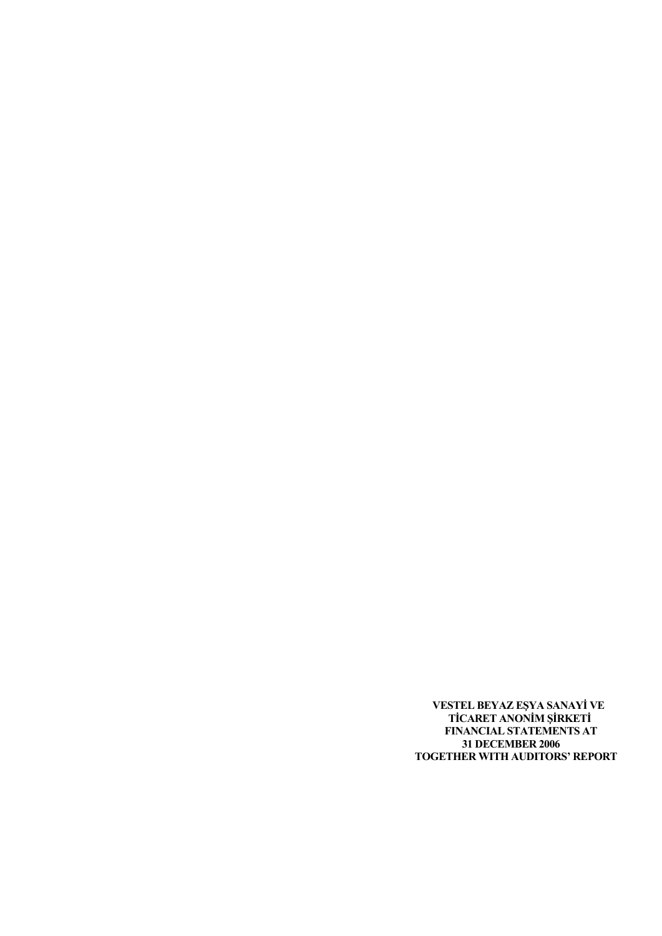**VESTEL BEYAZ EŞYA SANAYİ VE TİCARET ANONİM ŞİRKETİ FINANCIAL STATEMENTS AT 31 DECEMBER 2006 TOGETHER WITH AUDITORS' REPORT**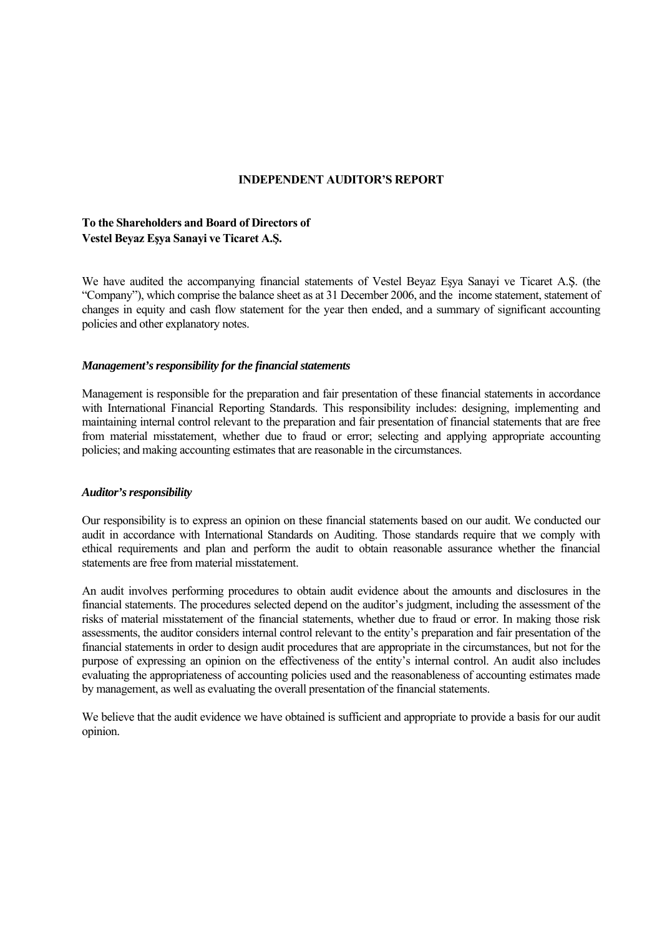### **INDEPENDENT AUDITOR'S REPORT**

## **To the Shareholders and Board of Directors of Vestel Beyaz Eşya Sanayi ve Ticaret A.Ş.**

We have audited the accompanying financial statements of Vestel Beyaz Eşya Sanayi ve Ticaret A.Ş. (the "Company"), which comprise the balance sheet as at 31 December 2006, and the income statement, statement of changes in equity and cash flow statement for the year then ended, and a summary of significant accounting policies and other explanatory notes.

#### *Management's responsibility for the financial statements*

Management is responsible for the preparation and fair presentation of these financial statements in accordance with International Financial Reporting Standards. This responsibility includes: designing, implementing and maintaining internal control relevant to the preparation and fair presentation of financial statements that are free from material misstatement, whether due to fraud or error; selecting and applying appropriate accounting policies; and making accounting estimates that are reasonable in the circumstances.

#### *Auditor's responsibility*

Our responsibility is to express an opinion on these financial statements based on our audit. We conducted our audit in accordance with International Standards on Auditing. Those standards require that we comply with ethical requirements and plan and perform the audit to obtain reasonable assurance whether the financial statements are free from material misstatement.

An audit involves performing procedures to obtain audit evidence about the amounts and disclosures in the financial statements. The procedures selected depend on the auditor's judgment, including the assessment of the risks of material misstatement of the financial statements, whether due to fraud or error. In making those risk assessments, the auditor considers internal control relevant to the entity's preparation and fair presentation of the financial statements in order to design audit procedures that are appropriate in the circumstances, but not for the purpose of expressing an opinion on the effectiveness of the entity's internal control. An audit also includes evaluating the appropriateness of accounting policies used and the reasonableness of accounting estimates made by management, as well as evaluating the overall presentation of the financial statements.

We believe that the audit evidence we have obtained is sufficient and appropriate to provide a basis for our audit opinion.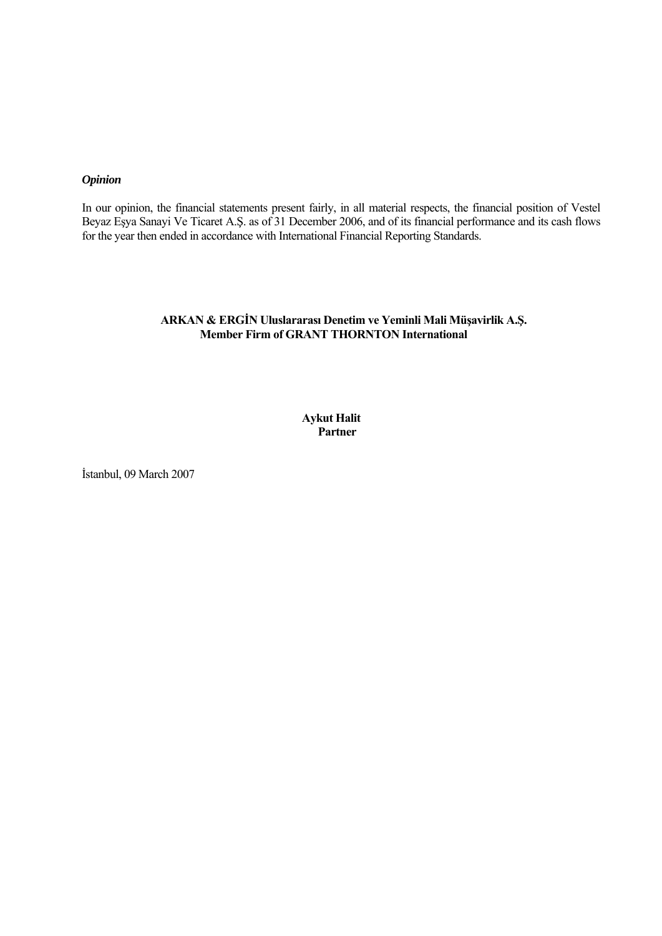## *Opinion*

In our opinion, the financial statements present fairly, in all material respects, the financial position of Vestel Beyaz Eşya Sanayi Ve Ticaret A.Ş. as of 31 December 2006, and of its financial performance and its cash flows for the year then ended in accordance with International Financial Reporting Standards.

## **ARKAN & ERGİN Uluslararası Denetim ve Yeminli Mali Müşavirlik A.Ş. Member Firm of GRANT THORNTON International**

**Aykut Halit Partner** 

İstanbul, 09 March 2007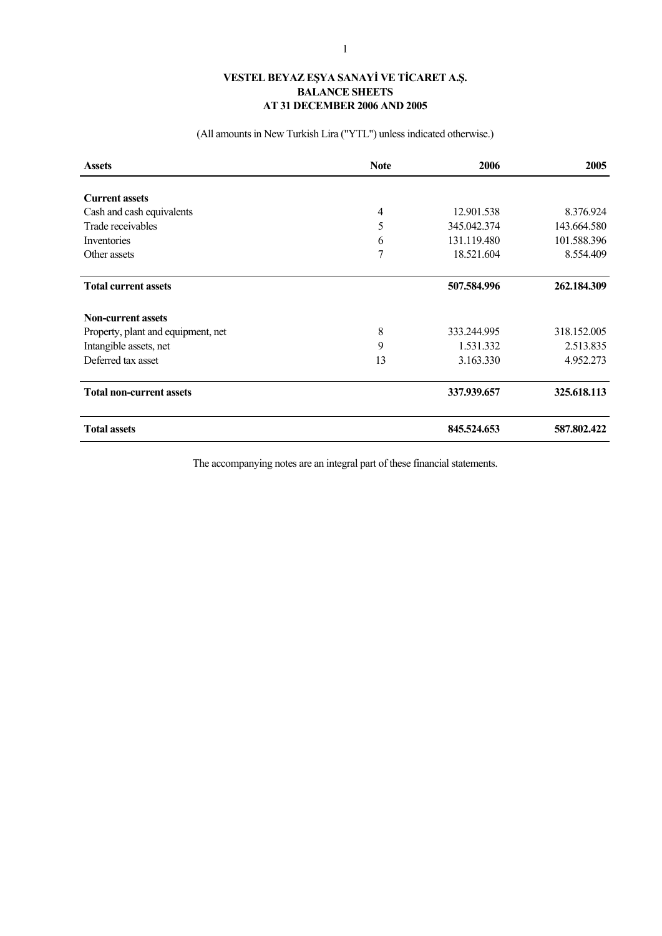## **VESTEL BEYAZ EŞYA SANAYİ VE TİCARET A.Ş. BALANCE SHEETS AT 31 DECEMBER 2006 AND 2005**

# (All amounts in New Turkish Lira ("YTL") unless indicated otherwise.)

| <b>Assets</b>                      | <b>Note</b>    | 2006        | 2005        |
|------------------------------------|----------------|-------------|-------------|
|                                    |                |             |             |
| <b>Current assets</b>              |                |             |             |
| Cash and cash equivalents          | $\overline{4}$ | 12.901.538  | 8.376.924   |
| Trade receivables                  | 5              | 345.042.374 | 143.664.580 |
| Inventories                        | 6              | 131.119.480 | 101.588.396 |
| Other assets                       | 7              | 18.521.604  | 8.554.409   |
| <b>Total current assets</b>        |                | 507.584.996 | 262.184.309 |
| <b>Non-current assets</b>          |                |             |             |
| Property, plant and equipment, net | 8              | 333.244.995 | 318.152.005 |
| Intangible assets, net             | 9              | 1.531.332   | 2.513.835   |
| Deferred tax asset                 | 13             | 3.163.330   | 4.952.273   |
| <b>Total non-current assets</b>    |                | 337.939.657 | 325.618.113 |
| <b>Total assets</b>                |                | 845.524.653 | 587.802.422 |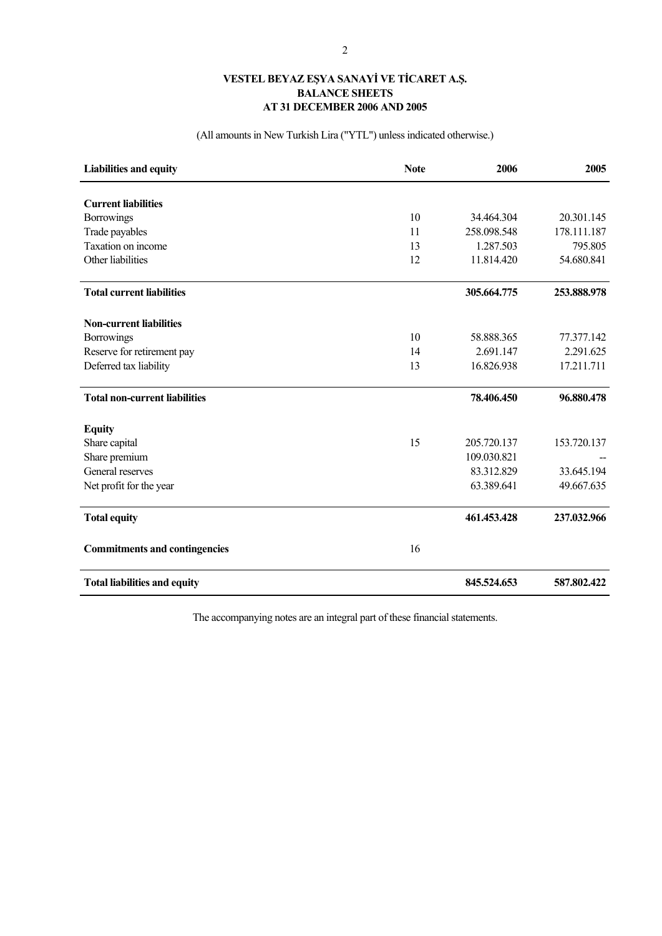## **VESTEL BEYAZ EŞYA SANAYİ VE TİCARET A.Ş. BALANCE SHEETS AT 31 DECEMBER 2006 AND 2005**

(All amounts in New Turkish Lira ("YTL") unless indicated otherwise.)

| <b>Liabilities and equity</b>        | <b>Note</b> | 2006        | 2005        |
|--------------------------------------|-------------|-------------|-------------|
|                                      |             |             |             |
| <b>Current liabilities</b>           |             |             |             |
| <b>Borrowings</b>                    | 10          | 34.464.304  | 20.301.145  |
| Trade payables                       | 11          | 258.098.548 | 178.111.187 |
| Taxation on income                   | 13          | 1.287.503   | 795.805     |
| Other liabilities                    | 12          | 11.814.420  | 54.680.841  |
| <b>Total current liabilities</b>     |             | 305.664.775 | 253.888.978 |
| <b>Non-current liabilities</b>       |             |             |             |
| Borrowings                           | 10          | 58.888.365  | 77.377.142  |
| Reserve for retirement pay           | 14          | 2.691.147   | 2.291.625   |
| Deferred tax liability               | 13          | 16.826.938  | 17.211.711  |
| <b>Total non-current liabilities</b> |             | 78.406.450  | 96.880.478  |
| <b>Equity</b>                        |             |             |             |
| Share capital                        | 15          | 205.720.137 | 153.720.137 |
| Share premium                        |             | 109.030.821 |             |
| General reserves                     |             | 83.312.829  | 33.645.194  |
| Net profit for the year              |             | 63.389.641  | 49.667.635  |
| <b>Total equity</b>                  |             | 461.453.428 | 237.032.966 |
| <b>Commitments and contingencies</b> | 16          |             |             |
| <b>Total liabilities and equity</b>  |             | 845.524.653 | 587.802.422 |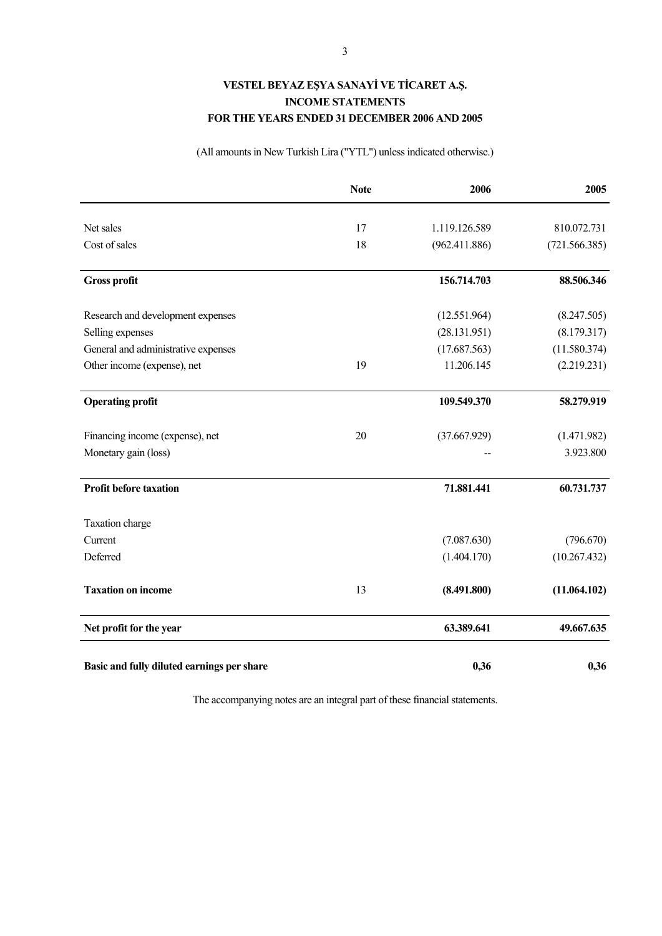# **VESTEL BEYAZ EŞYA SANAYİ VE TİCARET A.Ş. INCOME STATEMENTS FOR THE YEARS ENDED 31 DECEMBER 2006 AND 2005**

### (All amounts in New Turkish Lira ("YTL") unless indicated otherwise.)

|                                            | <b>Note</b> | 2006          | 2005          |
|--------------------------------------------|-------------|---------------|---------------|
| Net sales                                  | 17          | 1.119.126.589 | 810.072.731   |
|                                            |             |               |               |
| Cost of sales                              | 18          | (962.411.886) | (721.566.385) |
| <b>Gross profit</b>                        |             | 156.714.703   | 88.506.346    |
| Research and development expenses          |             | (12.551.964)  | (8.247.505)   |
| Selling expenses                           |             | (28.131.951)  | (8.179.317)   |
| General and administrative expenses        |             | (17.687.563)  | (11.580.374)  |
| Other income (expense), net                | 19          | 11.206.145    | (2.219.231)   |
| <b>Operating profit</b>                    |             | 109.549.370   | 58.279.919    |
| Financing income (expense), net            | 20          | (37.667.929)  | (1.471.982)   |
| Monetary gain (loss)                       |             |               | 3.923.800     |
| <b>Profit before taxation</b>              |             | 71.881.441    | 60.731.737    |
| Taxation charge                            |             |               |               |
| Current                                    |             | (7.087.630)   | (796.670)     |
| Deferred                                   |             | (1.404.170)   | (10.267.432)  |
| <b>Taxation on income</b>                  | 13          | (8.491.800)   | (11.064.102)  |
| Net profit for the year                    |             | 63.389.641    | 49.667.635    |
| Basic and fully diluted earnings per share |             | 0,36          | 0,36          |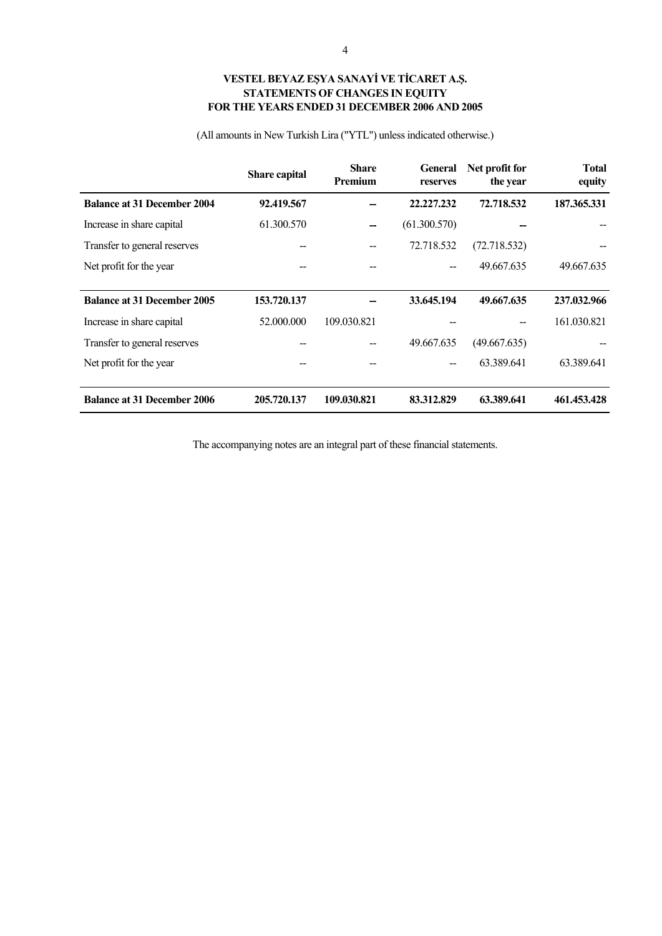## **VESTEL BEYAZ EŞYA SANAYİ VE TİCARET A.Ş. STATEMENTS OF CHANGES IN EQUITY FOR THE YEARS ENDED 31 DECEMBER 2006 AND 2005**

(All amounts in New Turkish Lira ("YTL") unless indicated otherwise.)

|                                    | Share capital | <b>Share</b><br><b>Premium</b> | <b>General</b><br>reserves | Net profit for<br>the year | <b>Total</b><br>equity |
|------------------------------------|---------------|--------------------------------|----------------------------|----------------------------|------------------------|
| <b>Balance at 31 December 2004</b> | 92.419.567    |                                | 22.227.232                 | 72.718.532                 | 187.365.331            |
| Increase in share capital          | 61.300.570    | --                             | (61.300.570)               |                            |                        |
| Transfer to general reserves       |               | --                             | 72.718.532                 | (72.718.532)               |                        |
| Net profit for the year            |               |                                |                            | 49.667.635                 | 49.667.635             |
|                                    |               |                                |                            |                            |                        |
| <b>Balance at 31 December 2005</b> | 153.720.137   |                                | 33.645.194                 | 49.667.635                 | 237.032.966            |
| Increase in share capital          | 52,000,000    | 109.030.821                    |                            |                            | 161.030.821            |
| Transfer to general reserves       | --            | --                             | 49.667.635                 | (49.667.635)               |                        |
| Net profit for the year            |               |                                | $\overline{\phantom{a}}$   | 63.389.641                 | 63.389.641             |
|                                    |               |                                |                            |                            |                        |
| <b>Balance at 31 December 2006</b> | 205.720.137   | 109.030.821                    | 83.312.829                 | 63.389.641                 | 461.453.428            |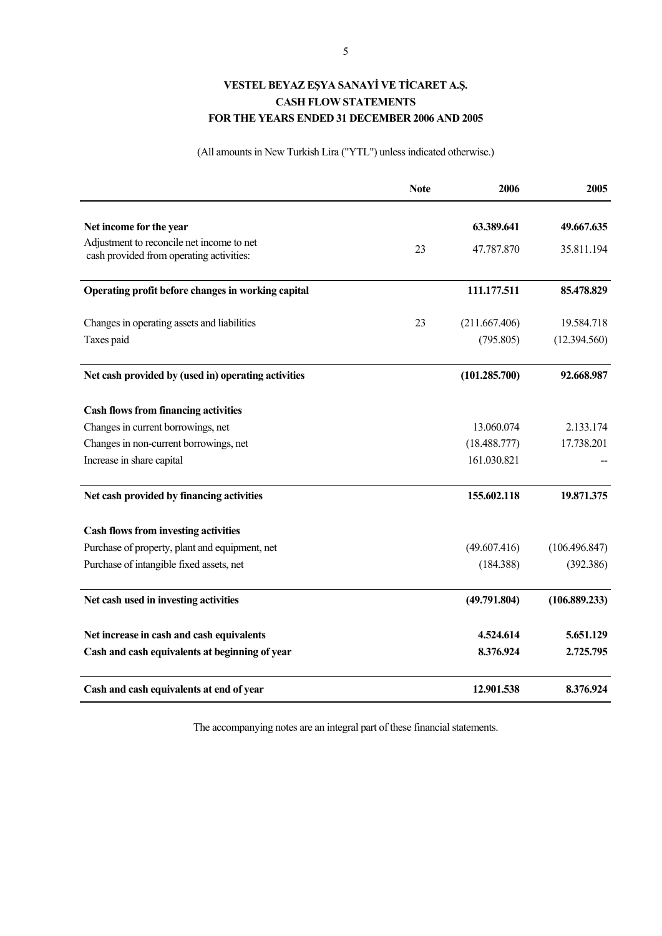# **VESTEL BEYAZ EŞYA SANAYİ VE TİCARET A.Ş. CASH FLOW STATEMENTS FOR THE YEARS ENDED 31 DECEMBER 2006 AND 2005**

(All amounts in New Turkish Lira ("YTL") unless indicated otherwise.)

|                                                                                       | <b>Note</b> | 2006          | 2005          |
|---------------------------------------------------------------------------------------|-------------|---------------|---------------|
| Net income for the year                                                               |             | 63.389.641    | 49.667.635    |
| Adjustment to reconcile net income to net<br>cash provided from operating activities: | 23          | 47.787.870    | 35.811.194    |
| Operating profit before changes in working capital                                    |             | 111.177.511   | 85.478.829    |
| Changes in operating assets and liabilities                                           | 23          | (211.667.406) | 19.584.718    |
| Taxes paid                                                                            |             | (795.805)     | (12.394.560)  |
| Net cash provided by (used in) operating activities                                   |             | (101.285.700) | 92.668.987    |
| <b>Cash flows from financing activities</b>                                           |             |               |               |
| Changes in current borrowings, net                                                    |             | 13.060.074    | 2.133.174     |
| Changes in non-current borrowings, net                                                |             | (18.488.777)  | 17.738.201    |
| Increase in share capital                                                             |             | 161.030.821   |               |
| Net cash provided by financing activities                                             |             | 155.602.118   | 19.871.375    |
| <b>Cash flows from investing activities</b>                                           |             |               |               |
| Purchase of property, plant and equipment, net                                        |             | (49.607.416)  | (106.496.847) |
| Purchase of intangible fixed assets, net                                              |             | (184.388)     | (392.386)     |
| Net cash used in investing activities                                                 |             | (49.791.804)  | (106.889.233) |
| Net increase in cash and cash equivalents                                             |             | 4.524.614     | 5.651.129     |
| Cash and cash equivalents at beginning of year                                        |             | 8.376.924     | 2.725.795     |
| Cash and cash equivalents at end of year                                              |             | 12.901.538    | 8.376.924     |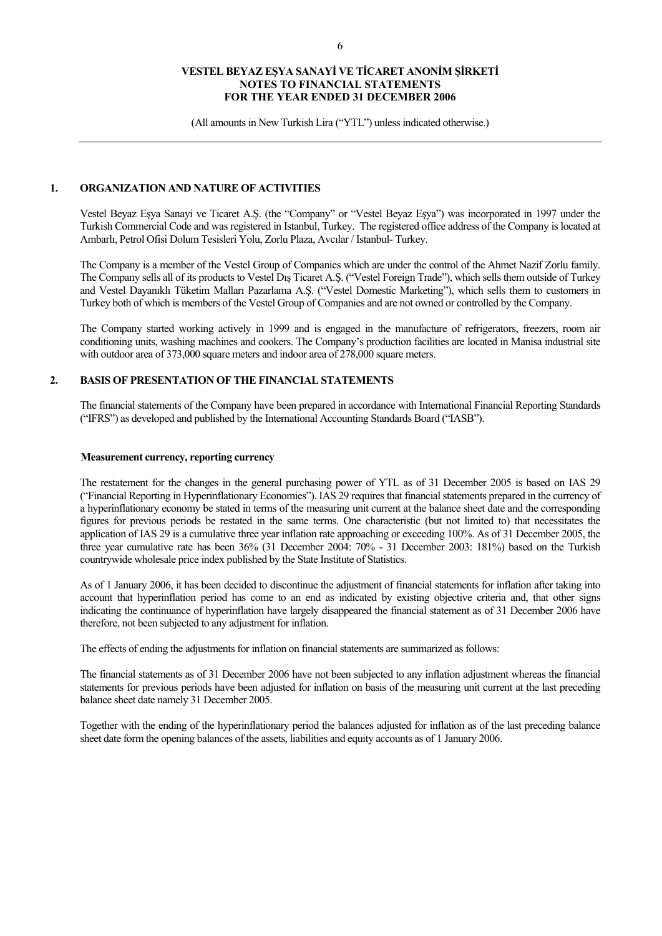(All amounts in New Turkish Lira ("YTL") unless indicated otherwise.)

#### **1. ORGANIZATION AND NATURE OF ACTIVITIES**

Vestel Beyaz Eşya Sanayi ve Ticaret A.Ş. (the "Company" or "Vestel Beyaz Eşya") was incorporated in 1997 under the Turkish Commercial Code and was registered in Istanbul, Turkey. The registered office address of the Company is located at Ambarlı, Petrol Ofisi Dolum Tesisleri Yolu, Zorlu Plaza, Avcılar / Istanbul- Turkey.

The Company is a member of the Vestel Group of Companies which are under the control of the Ahmet Nazif Zorlu family. The Company sells all of its products to Vestel Dış Ticaret A.Ş. ("Vestel Foreign Trade"), which sells them outside of Turkey and Vestel Dayanıklı Tüketim Malları Pazarlama A.Ş. ("Vestel Domestic Marketing"), which sells them to customers in Turkey both of which is members of the Vestel Group of Companies and are not owned or controlled by the Company.

The Company started working actively in 1999 and is engaged in the manufacture of refrigerators, freezers, room air conditioning units, washing machines and cookers. The Company's production facilities are located in Manisa industrial site with outdoor area of 373,000 square meters and indoor area of 278,000 square meters.

#### **2. BASIS OF PRESENTATION OF THE FINANCIAL STATEMENTS**

The financial statements of the Company have been prepared in accordance with International Financial Reporting Standards ("IFRS") as developed and published by the International Accounting Standards Board ("IASB").

#### **Measurement currency, reporting currency**

The restatement for the changes in the general purchasing power of YTL as of 31 December 2005 is based on IAS 29 ("Financial Reporting in Hyperinflationary Economies"). IAS 29 requires that financial statements prepared in the currency of a hyperinflationary economy be stated in terms of the measuring unit current at the balance sheet date and the corresponding figures for previous periods be restated in the same terms. One characteristic (but not limited to) that necessitates the application of IAS 29 is a cumulative three year inflation rate approaching or exceeding 100%. As of 31 December 2005, the three year cumulative rate has been 36% (31 December 2004: 70% - 31 December 2003: 181%) based on the Turkish countrywide wholesale price index published by the State Institute of Statistics.

As of 1 January 2006, it has been decided to discontinue the adjustment of financial statements for inflation after taking into account that hyperinflation period has come to an end as indicated by existing objective criteria and, that other signs indicating the continuance of hyperinflation have largely disappeared the financial statement as of 31 December 2006 have therefore, not been subjected to any adjustment for inflation.

The effects of ending the adjustments for inflation on financial statements are summarized as follows:

The financial statements as of 31 December 2006 have not been subjected to any inflation adjustment whereas the financial statements for previous periods have been adjusted for inflation on basis of the measuring unit current at the last preceding balance sheet date namely 31 December 2005.

Together with the ending of the hyperinflationary period the balances adjusted for inflation as of the last preceding balance sheet date form the opening balances of the assets, liabilities and equity accounts as of 1 January 2006.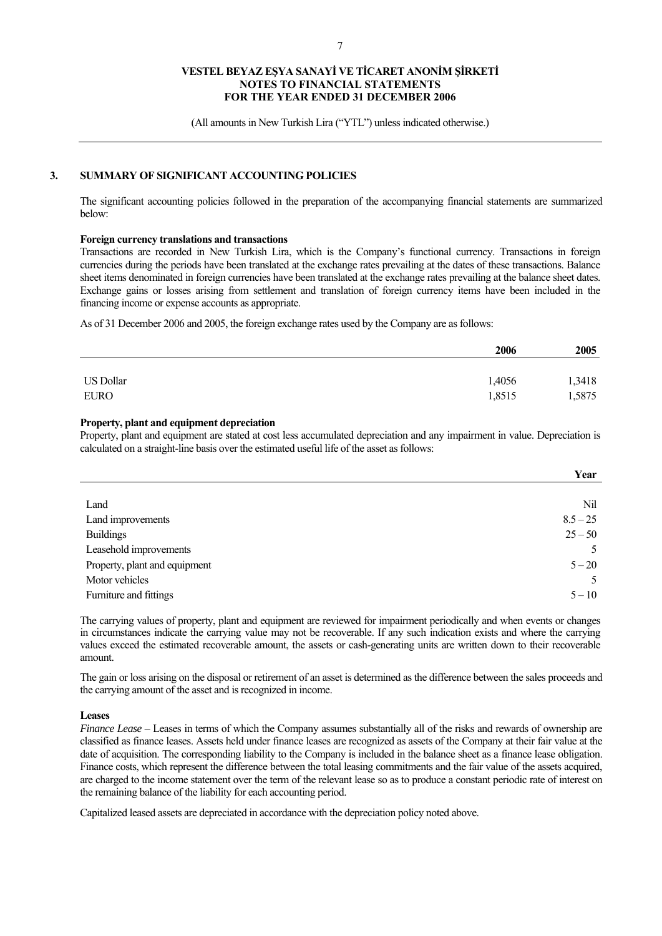(All amounts in New Turkish Lira ("YTL") unless indicated otherwise.)

#### **3. SUMMARY OF SIGNIFICANT ACCOUNTING POLICIES**

The significant accounting policies followed in the preparation of the accompanying financial statements are summarized below:

#### **Foreign currency translations and transactions**

Transactions are recorded in New Turkish Lira, which is the Company's functional currency. Transactions in foreign currencies during the periods have been translated at the exchange rates prevailing at the dates of these transactions. Balance sheet items denominated in foreign currencies have been translated at the exchange rates prevailing at the balance sheet dates. Exchange gains or losses arising from settlement and translation of foreign currency items have been included in the financing income or expense accounts as appropriate.

As of 31 December 2006 and 2005, the foreign exchange rates used by the Company are as follows:

|                  | 2006   | 2005   |
|------------------|--------|--------|
|                  |        |        |
| <b>US Dollar</b> | 1,4056 | 1,3418 |
| <b>EURO</b>      | 1,8515 | 1,5875 |

#### **Property, plant and equipment depreciation**

Property, plant and equipment are stated at cost less accumulated depreciation and any impairment in value. Depreciation is calculated on a straight-line basis over the estimated useful life of the asset as follows:

|                               | Year       |
|-------------------------------|------------|
|                               |            |
| Land                          | Nil        |
| Land improvements             | $8.5 - 25$ |
| <b>Buildings</b>              | $25 - 50$  |
| Leasehold improvements        | 5          |
| Property, plant and equipment | $5 - 20$   |
| Motor vehicles                | 5          |
| Furniture and fittings        | $5 - 10$   |

The carrying values of property, plant and equipment are reviewed for impairment periodically and when events or changes in circumstances indicate the carrying value may not be recoverable. If any such indication exists and where the carrying values exceed the estimated recoverable amount, the assets or cash-generating units are written down to their recoverable amount.

The gain or loss arising on the disposal or retirement of an asset is determined as the difference between the sales proceeds and the carrying amount of the asset and is recognized in income.

#### **Leases**

*Finance Lease – Leases in terms of which the Company assumes substantially all of the risks and rewards of ownership are* classified as finance leases. Assets held under finance leases are recognized as assets of the Company at their fair value at the date of acquisition. The corresponding liability to the Company is included in the balance sheet as a finance lease obligation. Finance costs, which represent the difference between the total leasing commitments and the fair value of the assets acquired, are charged to the income statement over the term of the relevant lease so as to produce a constant periodic rate of interest on the remaining balance of the liability for each accounting period.

Capitalized leased assets are depreciated in accordance with the depreciation policy noted above.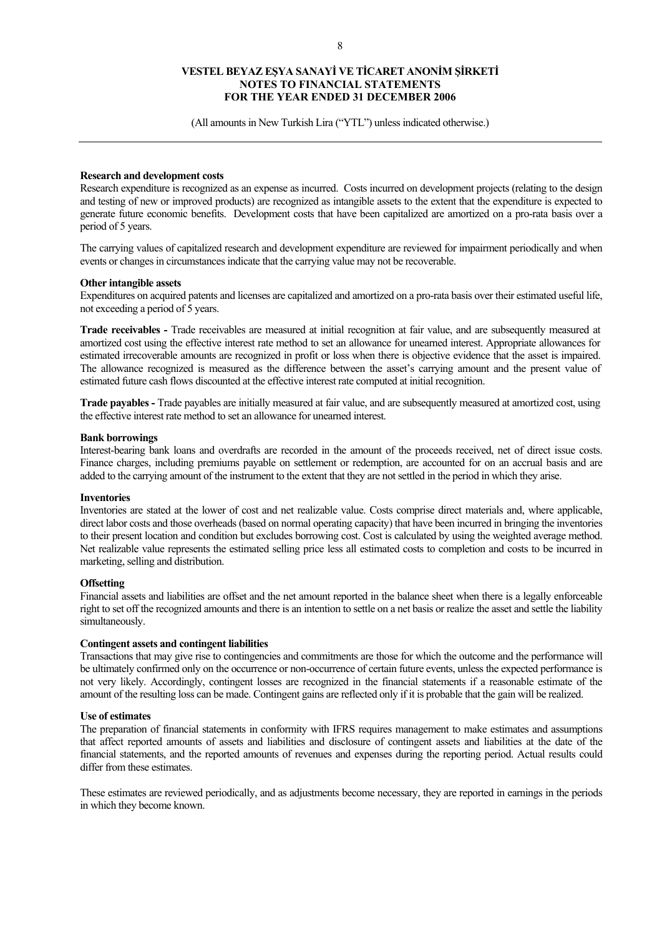(All amounts in New Turkish Lira ("YTL") unless indicated otherwise.)

#### **Research and development costs**

Research expenditure is recognized as an expense as incurred. Costs incurred on development projects (relating to the design and testing of new or improved products) are recognized as intangible assets to the extent that the expenditure is expected to generate future economic benefits. Development costs that have been capitalized are amortized on a pro-rata basis over a period of 5 years.

The carrying values of capitalized research and development expenditure are reviewed for impairment periodically and when events or changes in circumstances indicate that the carrying value may not be recoverable.

#### **Other intangible assets**

Expenditures on acquired patents and licenses are capitalized and amortized on a pro-rata basis over their estimated useful life, not exceeding a period of 5 years.

**Trade receivables -** Trade receivables are measured at initial recognition at fair value, and are subsequently measured at amortized cost using the effective interest rate method to set an allowance for unearned interest. Appropriate allowances for estimated irrecoverable amounts are recognized in profit or loss when there is objective evidence that the asset is impaired. The allowance recognized is measured as the difference between the asset's carrying amount and the present value of estimated future cash flows discounted at the effective interest rate computed at initial recognition.

**Trade payables -** Trade payables are initially measured at fair value, and are subsequently measured at amortized cost, using the effective interest rate method to set an allowance for unearned interest.

#### **Bank borrowings**

Interest-bearing bank loans and overdrafts are recorded in the amount of the proceeds received, net of direct issue costs. Finance charges, including premiums payable on settlement or redemption, are accounted for on an accrual basis and are added to the carrying amount of the instrument to the extent that they are not settled in the period in which they arise.

#### **Inventories**

Inventories are stated at the lower of cost and net realizable value. Costs comprise direct materials and, where applicable, direct labor costs and those overheads (based on normal operating capacity) that have been incurred in bringing the inventories to their present location and condition but excludes borrowing cost. Cost is calculated by using the weighted average method. Net realizable value represents the estimated selling price less all estimated costs to completion and costs to be incurred in marketing, selling and distribution.

#### **Offsetting**

Financial assets and liabilities are offset and the net amount reported in the balance sheet when there is a legally enforceable right to set off the recognized amounts and there is an intention to settle on a net basis or realize the asset and settle the liability simultaneously.

#### **Contingent assets and contingent liabilities**

Transactions that may give rise to contingencies and commitments are those for which the outcome and the performance will be ultimately confirmed only on the occurrence or non-occurrence of certain future events, unless the expected performance is not very likely. Accordingly, contingent losses are recognized in the financial statements if a reasonable estimate of the amount of the resulting loss can be made. Contingent gains are reflected only if it is probable that the gain will be realized.

#### **Use of estimates**

The preparation of financial statements in conformity with IFRS requires management to make estimates and assumptions that affect reported amounts of assets and liabilities and disclosure of contingent assets and liabilities at the date of the financial statements, and the reported amounts of revenues and expenses during the reporting period. Actual results could differ from these estimates.

These estimates are reviewed periodically, and as adjustments become necessary, they are reported in earnings in the periods in which they become known.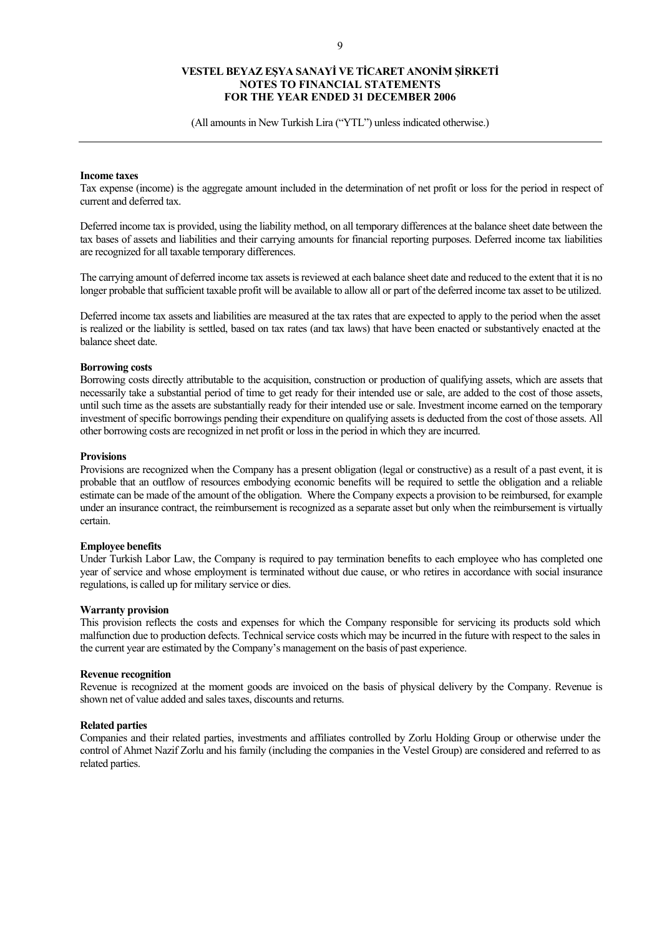(All amounts in New Turkish Lira ("YTL") unless indicated otherwise.)

#### **Income taxes**

Tax expense (income) is the aggregate amount included in the determination of net profit or loss for the period in respect of current and deferred tax.

Deferred income tax is provided, using the liability method, on all temporary differences at the balance sheet date between the tax bases of assets and liabilities and their carrying amounts for financial reporting purposes. Deferred income tax liabilities are recognized for all taxable temporary differences.

The carrying amount of deferred income tax assets is reviewed at each balance sheet date and reduced to the extent that it is no longer probable that sufficient taxable profit will be available to allow all or part of the deferred income tax asset to be utilized.

Deferred income tax assets and liabilities are measured at the tax rates that are expected to apply to the period when the asset is realized or the liability is settled, based on tax rates (and tax laws) that have been enacted or substantively enacted at the balance sheet date.

#### **Borrowing costs**

Borrowing costs directly attributable to the acquisition, construction or production of qualifying assets, which are assets that necessarily take a substantial period of time to get ready for their intended use or sale, are added to the cost of those assets, until such time as the assets are substantially ready for their intended use or sale. Investment income earned on the temporary investment of specific borrowings pending their expenditure on qualifying assets is deducted from the cost of those assets. All other borrowing costs are recognized in net profit or loss in the period in which they are incurred.

#### **Provisions**

Provisions are recognized when the Company has a present obligation (legal or constructive) as a result of a past event, it is probable that an outflow of resources embodying economic benefits will be required to settle the obligation and a reliable estimate can be made of the amount of the obligation. Where the Company expects a provision to be reimbursed, for example under an insurance contract, the reimbursement is recognized as a separate asset but only when the reimbursement is virtually certain.

#### **Employee benefits**

Under Turkish Labor Law, the Company is required to pay termination benefits to each employee who has completed one year of service and whose employment is terminated without due cause, or who retires in accordance with social insurance regulations, is called up for military service or dies.

#### **Warranty provision**

This provision reflects the costs and expenses for which the Company responsible for servicing its products sold which malfunction due to production defects. Technical service costs which may be incurred in the future with respect to the sales in the current year are estimated by the Company's management on the basis of past experience.

#### **Revenue recognition**

Revenue is recognized at the moment goods are invoiced on the basis of physical delivery by the Company. Revenue is shown net of value added and sales taxes, discounts and returns.

#### **Related parties**

Companies and their related parties, investments and affiliates controlled by Zorlu Holding Group or otherwise under the control of Ahmet Nazif Zorlu and his family (including the companies in the Vestel Group) are considered and referred to as related parties.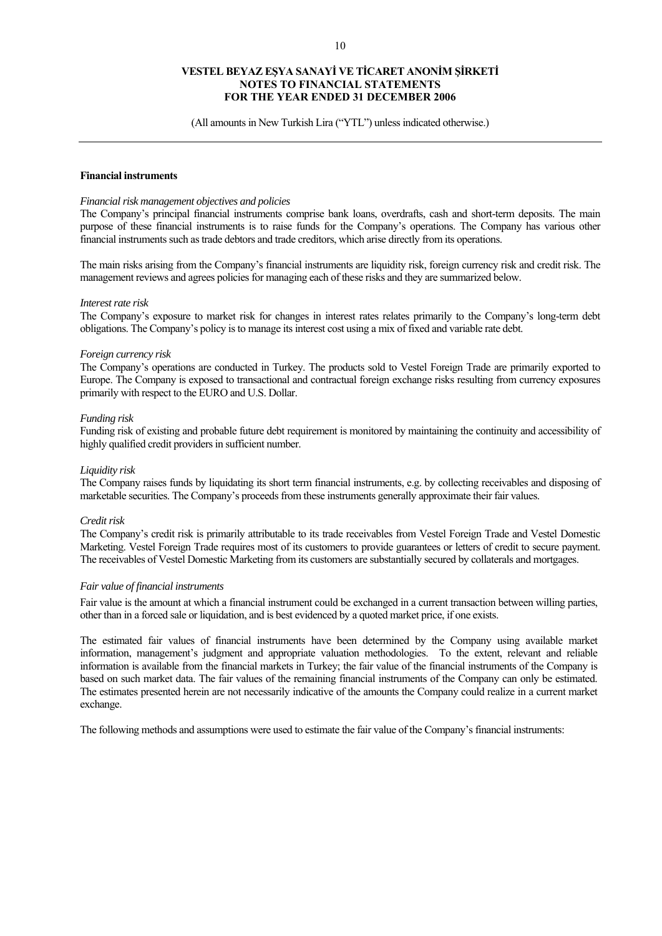(All amounts in New Turkish Lira ("YTL") unless indicated otherwise.)

#### **Financial instruments**

#### *Financial risk management objectives and policies*

The Company's principal financial instruments comprise bank loans, overdrafts, cash and short-term deposits. The main purpose of these financial instruments is to raise funds for the Company's operations. The Company has various other financial instruments such as trade debtors and trade creditors, which arise directly from its operations.

The main risks arising from the Company's financial instruments are liquidity risk, foreign currency risk and credit risk. The management reviews and agrees policies for managing each of these risks and they are summarized below.

#### *Interest rate risk*

The Company's exposure to market risk for changes in interest rates relates primarily to the Company's long-term debt obligations. The Company's policy is to manage its interest cost using a mix of fixed and variable rate debt.

#### *Foreign currency risk*

The Company's operations are conducted in Turkey. The products sold to Vestel Foreign Trade are primarily exported to Europe. The Company is exposed to transactional and contractual foreign exchange risks resulting from currency exposures primarily with respect to the EURO and U.S. Dollar.

#### *Funding risk*

Funding risk of existing and probable future debt requirement is monitored by maintaining the continuity and accessibility of highly qualified credit providers in sufficient number.

#### *Liquidity risk*

The Company raises funds by liquidating its short term financial instruments, e.g. by collecting receivables and disposing of marketable securities. The Company's proceeds from these instruments generally approximate their fair values.

#### *Credit risk*

The Company's credit risk is primarily attributable to its trade receivables from Vestel Foreign Trade and Vestel Domestic Marketing. Vestel Foreign Trade requires most of its customers to provide guarantees or letters of credit to secure payment. The receivables of Vestel Domestic Marketing from its customers are substantially secured by collaterals and mortgages.

#### *Fair value of financial instruments*

Fair value is the amount at which a financial instrument could be exchanged in a current transaction between willing parties, other than in a forced sale or liquidation, and is best evidenced by a quoted market price, if one exists.

The estimated fair values of financial instruments have been determined by the Company using available market information, management's judgment and appropriate valuation methodologies. To the extent, relevant and reliable information is available from the financial markets in Turkey; the fair value of the financial instruments of the Company is based on such market data. The fair values of the remaining financial instruments of the Company can only be estimated. The estimates presented herein are not necessarily indicative of the amounts the Company could realize in a current market exchange.

The following methods and assumptions were used to estimate the fair value of the Company's financial instruments: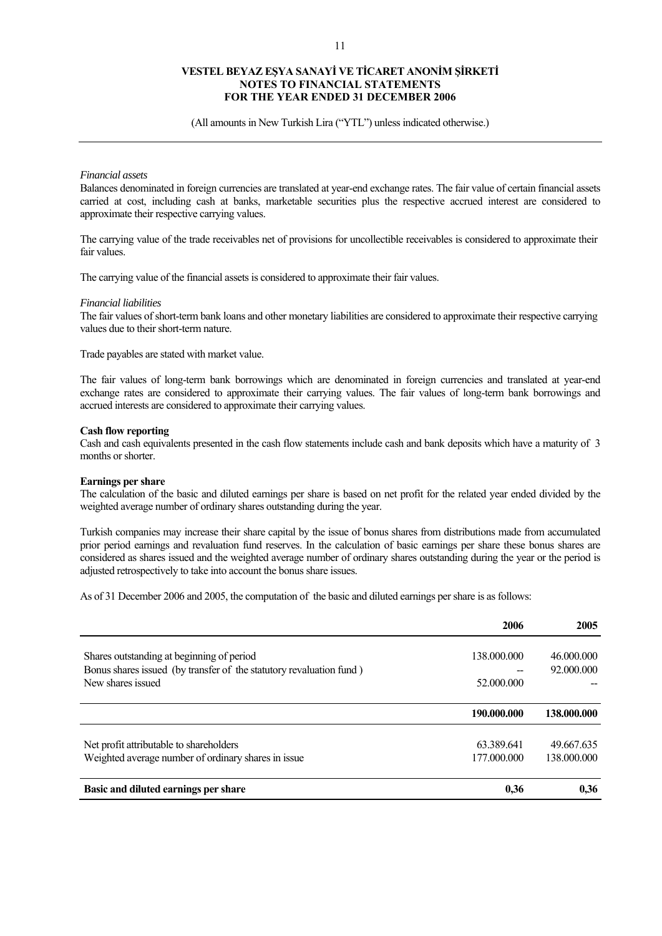(All amounts in New Turkish Lira ("YTL") unless indicated otherwise.)

#### *Financial assets*

Balances denominated in foreign currencies are translated at year-end exchange rates. The fair value of certain financial assets carried at cost, including cash at banks, marketable securities plus the respective accrued interest are considered to approximate their respective carrying values.

The carrying value of the trade receivables net of provisions for uncollectible receivables is considered to approximate their fair values.

The carrying value of the financial assets is considered to approximate their fair values.

#### *Financial liabilities*

The fair values of short-term bank loans and other monetary liabilities are considered to approximate their respective carrying values due to their short-term nature.

Trade payables are stated with market value.

The fair values of long-term bank borrowings which are denominated in foreign currencies and translated at year-end exchange rates are considered to approximate their carrying values. The fair values of long-term bank borrowings and accrued interests are considered to approximate their carrying values.

#### **Cash flow reporting**

Cash and cash equivalents presented in the cash flow statements include cash and bank deposits which have a maturity of 3 months or shorter.

#### **Earnings per share**

The calculation of the basic and diluted earnings per share is based on net profit for the related year ended divided by the weighted average number of ordinary shares outstanding during the year.

Turkish companies may increase their share capital by the issue of bonus shares from distributions made from accumulated prior period earnings and revaluation fund reserves. In the calculation of basic earnings per share these bonus shares are considered as shares issued and the weighted average number of ordinary shares outstanding during the year or the period is adjusted retrospectively to take into account the bonus share issues.

As of 31 December 2006 and 2005, the computation of the basic and diluted earnings per share is as follows:

|                                                                     | 2006        | 2005        |
|---------------------------------------------------------------------|-------------|-------------|
| Shares outstanding at beginning of period                           | 138.000.000 | 46.000.000  |
| Bonus shares issued (by transfer of the statutory revaluation fund) |             | 92.000.000  |
| New shares issued                                                   | 52.000.000  |             |
|                                                                     | 190.000.000 | 138,000,000 |
| Net profit attributable to shareholders                             | 63.389.641  | 49.667.635  |
| Weighted average number of ordinary shares in issue                 | 177.000.000 | 138.000.000 |
| Basic and diluted earnings per share                                | 0.36        | 0.36        |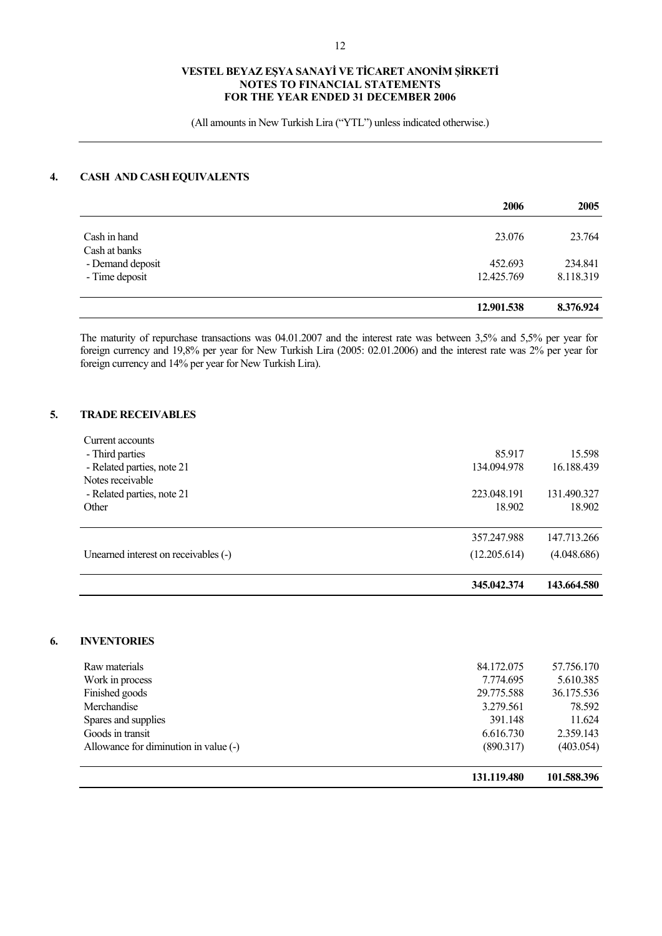(All amounts in New Turkish Lira ("YTL") unless indicated otherwise.)

## **4. CASH AND CASH EQUIVALENTS**

|                               | 2006       | 2005      |
|-------------------------------|------------|-----------|
| Cash in hand<br>Cash at banks | 23,076     | 23.764    |
| - Demand deposit              | 452.693    | 234.841   |
| - Time deposit                | 12.425.769 | 8.118.319 |
|                               | 12.901.538 | 8.376.924 |

The maturity of repurchase transactions was 04.01.2007 and the interest rate was between 3,5% and 5,5% per year for foreign currency and 19,8% per year for New Turkish Lira (2005: 02.01.2006) and the interest rate was 2% per year for foreign currency and 14% per year for New Turkish Lira).

#### **5. TRADE RECEIVABLES**

| Current accounts                     |              |             |
|--------------------------------------|--------------|-------------|
| - Third parties                      | 85.917       | 15.598      |
| - Related parties, note 21           | 134,094.978  | 16.188.439  |
| Notes receivable                     |              |             |
| - Related parties, note 21           | 223.048.191  | 131.490.327 |
| Other                                | 18.902       | 18.902      |
|                                      |              |             |
|                                      | 357.247.988  | 147.713.266 |
| Unearned interest on receivables (-) | (12.205.614) | (4.048.686) |
|                                      |              |             |
|                                      | 345.042.374  | 143.664.580 |

## **6. INVENTORIES**

|                                       | 131.119.480 | 101.588.396 |
|---------------------------------------|-------------|-------------|
| Allowance for diminution in value (-) | (890.317)   | (403.054)   |
| Goods in transit                      | 6.616.730   | 2.359.143   |
| Spares and supplies                   | 391.148     | 11.624      |
| Merchandise                           | 3.279.561   | 78.592      |
| Finished goods                        | 29.775.588  | 36.175.536  |
| Work in process                       | 7.774.695   | 5.610.385   |
| Raw materials                         | 84.172.075  | 57.756.170  |
|                                       |             |             |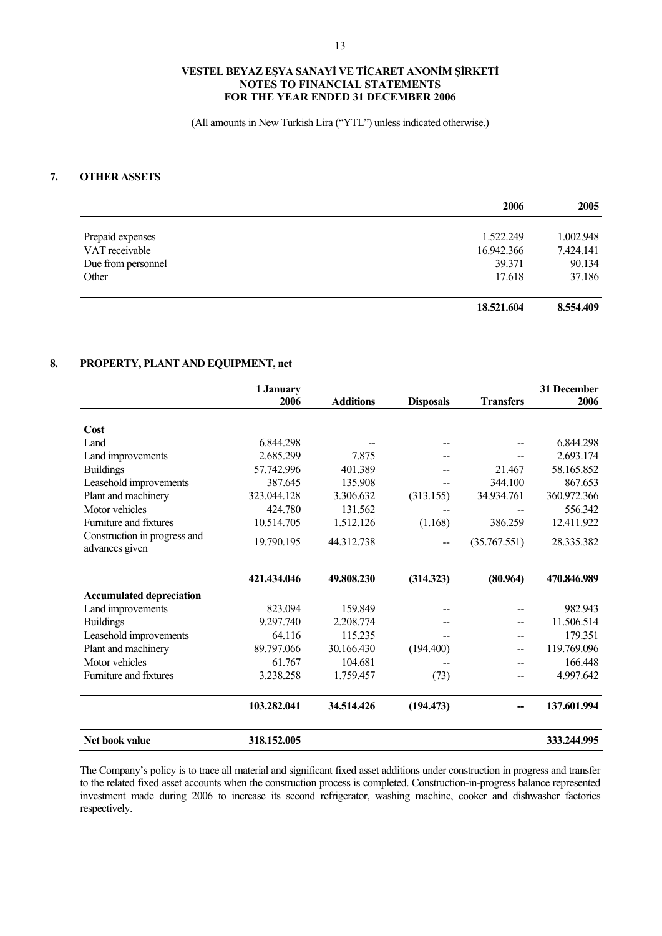(All amounts in New Turkish Lira ("YTL") unless indicated otherwise.)

## **7. OTHER ASSETS**

|                                    | 2006                    | 2005                   |
|------------------------------------|-------------------------|------------------------|
|                                    |                         |                        |
| Prepaid expenses<br>VAT receivable | 1.522.249<br>16.942.366 | 1.002.948<br>7.424.141 |
| Due from personnel                 | 39.371                  | 90.134                 |
| Other                              | 17.618                  | 37.186                 |
|                                    | 18.521.604              | 8.554.409              |

### **8. PROPERTY, PLANT AND EQUIPMENT, net**

|                                 | 1 January<br>2006 | <b>Additions</b> | <b>Disposals</b> | <b>Transfers</b> | 31 December<br>2006 |
|---------------------------------|-------------------|------------------|------------------|------------------|---------------------|
|                                 |                   |                  |                  |                  |                     |
| Cost                            |                   |                  |                  |                  |                     |
| Land                            | 6.844.298         |                  |                  |                  | 6.844.298           |
| Land improvements               | 2.685.299         | 7.875            |                  |                  | 2.693.174           |
| <b>Buildings</b>                | 57.742.996        | 401.389          |                  | 21.467           | 58.165.852          |
| Leasehold improvements          | 387.645           | 135.908          |                  | 344.100          | 867.653             |
| Plant and machinery             | 323.044.128       | 3.306.632        | (313.155)        | 34.934.761       | 360.972.366         |
| Motor vehicles                  | 424.780           | 131.562          |                  |                  | 556.342             |
| Furniture and fixtures          | 10.514.705        | 1.512.126        | (1.168)          | 386.259          | 12.411.922          |
| Construction in progress and    | 19.790.195        | 44.312.738       | --               | (35.767.551)     | 28.335.382          |
| advances given                  |                   |                  |                  |                  |                     |
|                                 | 421.434.046       | 49.808.230       | (314.323)        | (80.964)         | 470.846.989         |
| <b>Accumulated depreciation</b> |                   |                  |                  |                  |                     |
| Land improvements               | 823.094           | 159.849          |                  |                  | 982.943             |
| <b>Buildings</b>                | 9.297.740         | 2.208.774        |                  |                  | 11.506.514          |
| Leasehold improvements          | 64.116            | 115.235          |                  |                  | 179.351             |
| Plant and machinery             | 89.797.066        | 30.166.430       | (194.400)        | --               | 119.769.096         |
| Motor vehicles                  | 61.767            | 104.681          |                  |                  | 166.448             |
| Furniture and fixtures          | 3.238.258         | 1.759.457        | (73)             |                  | 4.997.642           |
|                                 | 103.282.041       | 34.514.426       | (194.473)        |                  | 137.601.994         |
| Net book value                  | 318.152.005       |                  |                  |                  | 333.244.995         |

The Company's policy is to trace all material and significant fixed asset additions under construction in progress and transfer to the related fixed asset accounts when the construction process is completed. Construction-in-progress balance represented investment made during 2006 to increase its second refrigerator, washing machine, cooker and dishwasher factories respectively.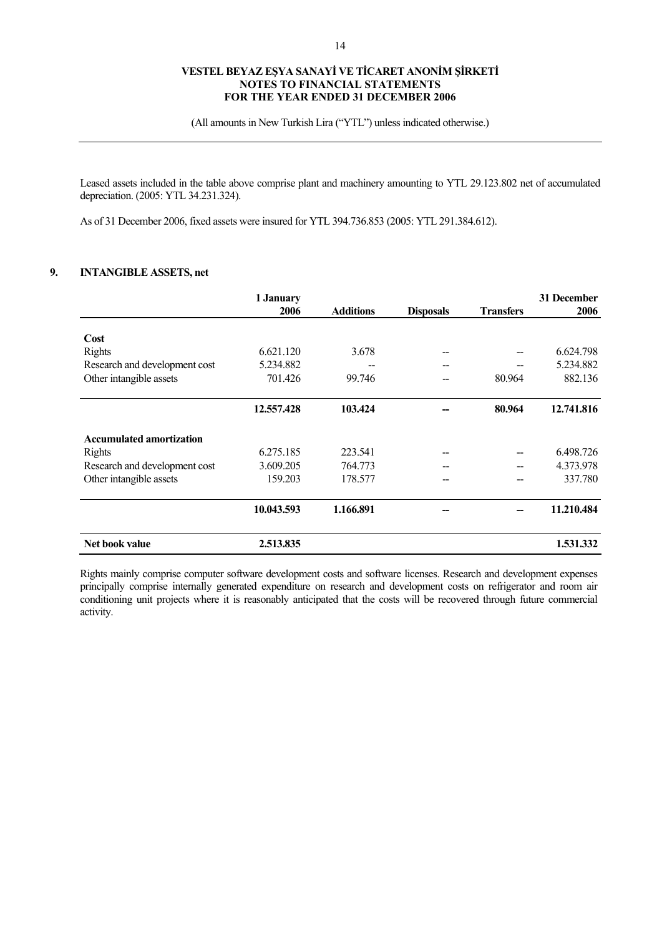(All amounts in New Turkish Lira ("YTL") unless indicated otherwise.)

Leased assets included in the table above comprise plant and machinery amounting to YTL 29.123.802 net of accumulated depreciation. (2005: YTL 34.231.324).

As of 31 December 2006, fixed assets were insured for YTL 394.736.853 (2005: YTL 291.384.612).

## **9. INTANGIBLE ASSETS, net**

|                                 | 1 January<br>2006 | <b>Additions</b> | <b>Disposals</b> | <b>Transfers</b> | 31 December<br>2006 |
|---------------------------------|-------------------|------------------|------------------|------------------|---------------------|
|                                 |                   |                  |                  |                  |                     |
| <b>Cost</b>                     |                   |                  |                  |                  |                     |
| <b>Rights</b>                   | 6.621.120         | 3.678            | --               |                  | 6.624.798           |
| Research and development cost   | 5.234.882         |                  | --               |                  | 5.234.882           |
| Other intangible assets         | 701.426           | 99.746           |                  | 80.964           | 882.136             |
|                                 | 12.557.428        | 103.424          |                  | 80.964           | 12.741.816          |
| <b>Accumulated amortization</b> |                   |                  |                  |                  |                     |
| <b>Rights</b>                   | 6.275.185         | 223.541          | --               |                  | 6.498.726           |
| Research and development cost   | 3.609.205         | 764.773          | --               |                  | 4.373.978           |
| Other intangible assets         | 159.203           | 178.577          |                  |                  | 337.780             |
|                                 | 10.043.593        | 1.166.891        |                  |                  | 11.210.484          |
| Net book value                  | 2.513.835         |                  |                  |                  | 1.531.332           |

Rights mainly comprise computer software development costs and software licenses. Research and development expenses principally comprise internally generated expenditure on research and development costs on refrigerator and room air conditioning unit projects where it is reasonably anticipated that the costs will be recovered through future commercial activity.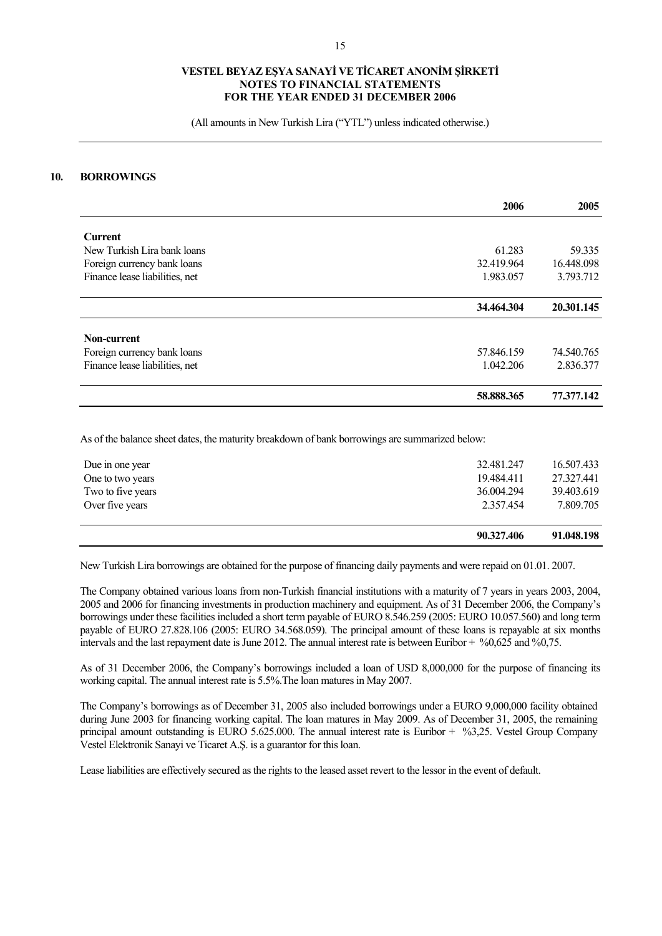(All amounts in New Turkish Lira ("YTL") unless indicated otherwise.)

#### **10. BORROWINGS**

|                                | 2006       | 2005       |
|--------------------------------|------------|------------|
| <b>Current</b>                 |            |            |
| New Turkish Lira bank loans    | 61.283     | 59.335     |
| Foreign currency bank loans    | 32.419.964 | 16.448.098 |
| Finance lease liabilities, net | 1.983.057  | 3.793.712  |
|                                | 34.464.304 | 20.301.145 |
| Non-current                    |            |            |
| Foreign currency bank loans    | 57.846.159 | 74.540.765 |
| Finance lease liabilities, net | 1.042.206  | 2.836.377  |
|                                | 58.888.365 | 77.377.142 |

As of the balance sheet dates, the maturity breakdown of bank borrowings are summarized below:

| Over five years   | 2.357.454  | 7.809.705  |
|-------------------|------------|------------|
| Two to five years | 36.004.294 | 39.403.619 |
| One to two years  | 19.484.411 | 27.327.441 |
| Due in one year   | 32.481.247 | 16.507.433 |

New Turkish Lira borrowings are obtained for the purpose of financing daily payments and were repaid on 01.01. 2007.

The Company obtained various loans from non-Turkish financial institutions with a maturity of 7 years in years 2003, 2004, 2005 and 2006 for financing investments in production machinery and equipment. As of 31 December 2006, the Company's borrowings under these facilities included a short term payable of EURO 8.546.259 (2005: EURO 10.057.560) and long term payable of EURO 27.828.106 (2005: EURO 34.568.059). The principal amount of these loans is repayable at six months intervals and the last repayment date is June 2012. The annual interest rate is between Euribor + %0,625 and %0,75.

As of 31 December 2006, the Company's borrowings included a loan of USD 8,000,000 for the purpose of financing its working capital. The annual interest rate is 5.5%.The loan matures in May 2007.

The Company's borrowings as of December 31, 2005 also included borrowings under a EURO 9,000,000 facility obtained during June 2003 for financing working capital. The loan matures in May 2009. As of December 31, 2005, the remaining principal amount outstanding is EURO 5.625.000. The annual interest rate is Euribor + %3,25. Vestel Group Company Vestel Elektronik Sanayi ve Ticaret A.Ş. is a guarantor for this loan.

Lease liabilities are effectively secured as the rights to the leased asset revert to the lessor in the event of default.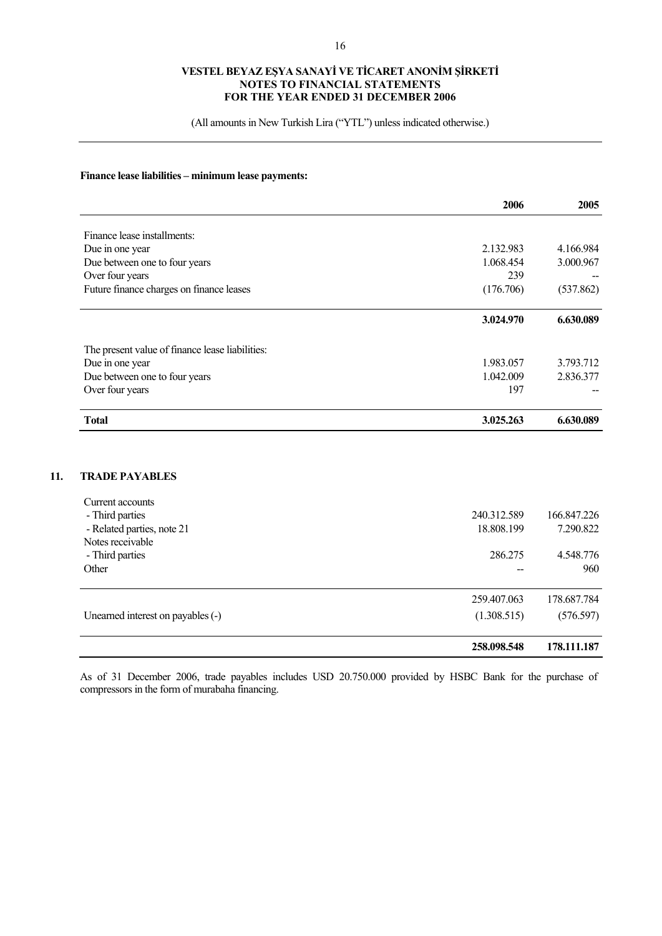(All amounts in New Turkish Lira ("YTL") unless indicated otherwise.)

#### **Finance lease liabilities – minimum lease payments:**

|                                                 | 2006      | 2005      |
|-------------------------------------------------|-----------|-----------|
|                                                 |           |           |
| Finance lease installments:                     |           |           |
| Due in one year                                 | 2.132.983 | 4.166.984 |
| Due between one to four years                   | 1.068.454 | 3.000.967 |
| Over four years                                 | 239       |           |
| Future finance charges on finance leases        | (176.706) | (537.862) |
|                                                 | 3.024.970 | 6.630.089 |
| The present value of finance lease liabilities: |           |           |
| Due in one year                                 | 1.983.057 | 3.793.712 |
| Due between one to four years                   | 1.042.009 | 2.836.377 |
| Over four years                                 | 197       |           |
| <b>Total</b>                                    | 3.025.263 | 6.630.089 |
|                                                 |           |           |

## **11. TRADE PAYABLES**

|                                   | 258.098.548 | 178.111.187 |
|-----------------------------------|-------------|-------------|
| Unearned interest on payables (-) | (1.308.515) | (576.597)   |
|                                   | 259.407.063 | 178.687.784 |
| Other                             |             | 960         |
| - Third parties                   | 286.275     | 4.548.776   |
| Notes receivable                  |             |             |
| - Related parties, note 21        | 18.808.199  | 7.290.822   |
| - Third parties                   | 240.312.589 | 166.847.226 |
| Current accounts                  |             |             |

As of 31 December 2006, trade payables includes USD 20.750.000 provided by HSBC Bank for the purchase of compressors in the form of murabaha financing.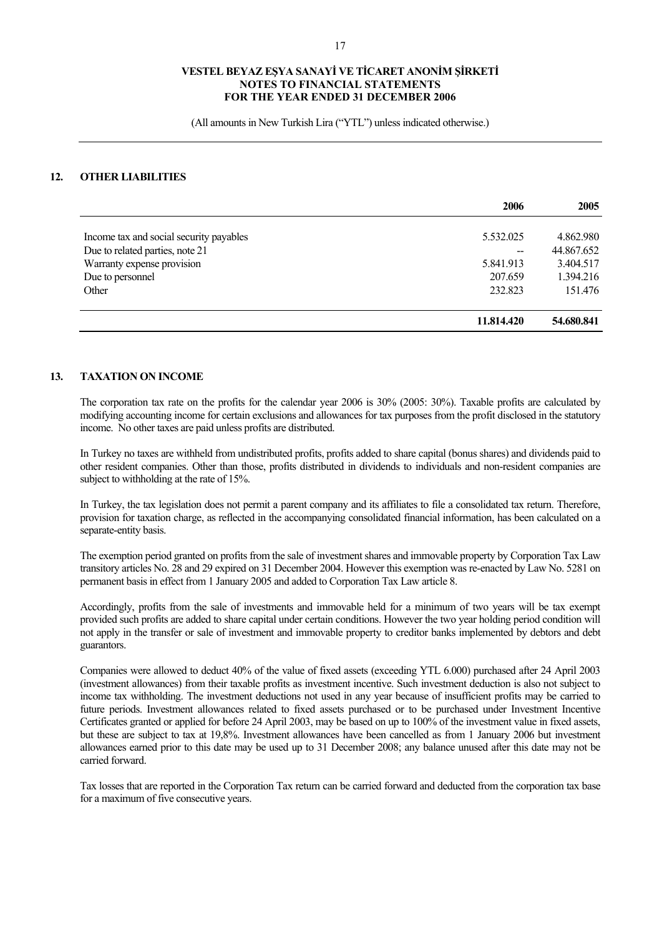(All amounts in New Turkish Lira ("YTL") unless indicated otherwise.)

## **12. OTHER LIABILITIES**

|                                         | 2006       | 2005       |
|-----------------------------------------|------------|------------|
| Income tax and social security payables | 5.532.025  | 4.862.980  |
| Due to related parties, note 21         |            | 44.867.652 |
| Warranty expense provision              | 5.841.913  | 3.404.517  |
| Due to personnel                        | 207.659    | 1.394.216  |
| Other                                   | 232.823    | 151.476    |
|                                         | 11.814.420 | 54.680.841 |

#### **13. TAXATION ON INCOME**

The corporation tax rate on the profits for the calendar year 2006 is 30% (2005: 30%). Taxable profits are calculated by modifying accounting income for certain exclusions and allowances for tax purposes from the profit disclosed in the statutory income. No other taxes are paid unless profits are distributed.

In Turkey no taxes are withheld from undistributed profits, profits added to share capital (bonus shares) and dividends paid to other resident companies. Other than those, profits distributed in dividends to individuals and non-resident companies are subject to withholding at the rate of 15%.

In Turkey, the tax legislation does not permit a parent company and its affiliates to file a consolidated tax return. Therefore, provision for taxation charge, as reflected in the accompanying consolidated financial information, has been calculated on a separate-entity basis.

The exemption period granted on profits from the sale of investment shares and immovable property by Corporation Tax Law transitory articles No. 28 and 29 expired on 31 December 2004. However this exemption was re-enacted by Law No. 5281 on permanent basis in effect from 1 January 2005 and added to Corporation Tax Law article 8.

Accordingly, profits from the sale of investments and immovable held for a minimum of two years will be tax exempt provided such profits are added to share capital under certain conditions. However the two year holding period condition will not apply in the transfer or sale of investment and immovable property to creditor banks implemented by debtors and debt guarantors.

Companies were allowed to deduct 40% of the value of fixed assets (exceeding YTL 6.000) purchased after 24 April 2003 (investment allowances) from their taxable profits as investment incentive. Such investment deduction is also not subject to income tax withholding. The investment deductions not used in any year because of insufficient profits may be carried to future periods. Investment allowances related to fixed assets purchased or to be purchased under Investment Incentive Certificates granted or applied for before 24 April 2003, may be based on up to 100% of the investment value in fixed assets, but these are subject to tax at 19,8%. Investment allowances have been cancelled as from 1 January 2006 but investment allowances earned prior to this date may be used up to 31 December 2008; any balance unused after this date may not be carried forward.

Tax losses that are reported in the Corporation Tax return can be carried forward and deducted from the corporation tax base for a maximum of five consecutive years.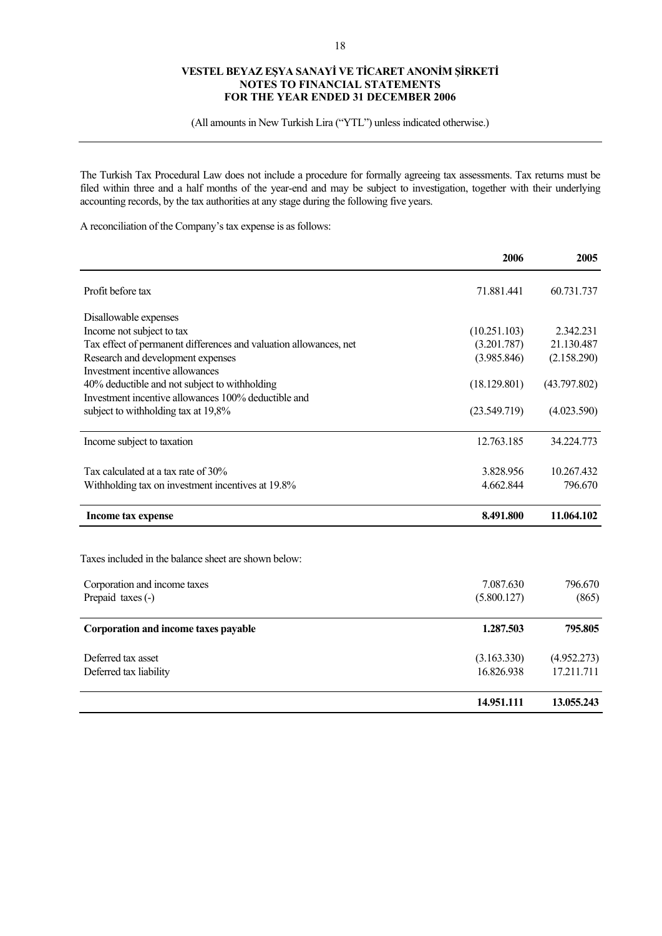(All amounts in New Turkish Lira ("YTL") unless indicated otherwise.)

The Turkish Tax Procedural Law does not include a procedure for formally agreeing tax assessments. Tax returns must be filed within three and a half months of the year-end and may be subject to investigation, together with their underlying accounting records, by the tax authorities at any stage during the following five years.

A reconciliation of the Company's tax expense is as follows:

|                                                                   | 2006         | 2005         |
|-------------------------------------------------------------------|--------------|--------------|
| Profit before tax                                                 | 71.881.441   | 60.731.737   |
| Disallowable expenses                                             |              |              |
| Income not subject to tax                                         | (10.251.103) | 2.342.231    |
| Tax effect of permanent differences and valuation allowances, net | (3.201.787)  | 21.130.487   |
| Research and development expenses                                 | (3.985.846)  | (2.158.290)  |
| Investment incentive allowances                                   |              |              |
| 40% deductible and not subject to withholding                     | (18.129.801) | (43.797.802) |
| Investment incentive allowances 100% deductible and               |              |              |
| subject to withholding tax at 19,8%                               | (23.549.719) | (4.023.590)  |
| Income subject to taxation                                        | 12.763.185   | 34.224.773   |
| Tax calculated at a tax rate of 30%                               | 3.828.956    | 10.267.432   |
| Withholding tax on investment incentives at 19.8%                 | 4.662.844    | 796.670      |
| Income tax expense                                                | 8.491.800    | 11.064.102   |
| Taxes included in the balance sheet are shown below:              |              |              |
| Corporation and income taxes                                      | 7.087.630    | 796.670      |
| Prepaid taxes (-)                                                 | (5.800.127)  | (865)        |
| Corporation and income taxes payable                              | 1.287.503    | 795.805      |
| Deferred tax asset                                                | (3.163.330)  | (4.952.273)  |
| Deferred tax liability                                            | 16.826.938   | 17.211.711   |
|                                                                   | 14.951.111   | 13.055.243   |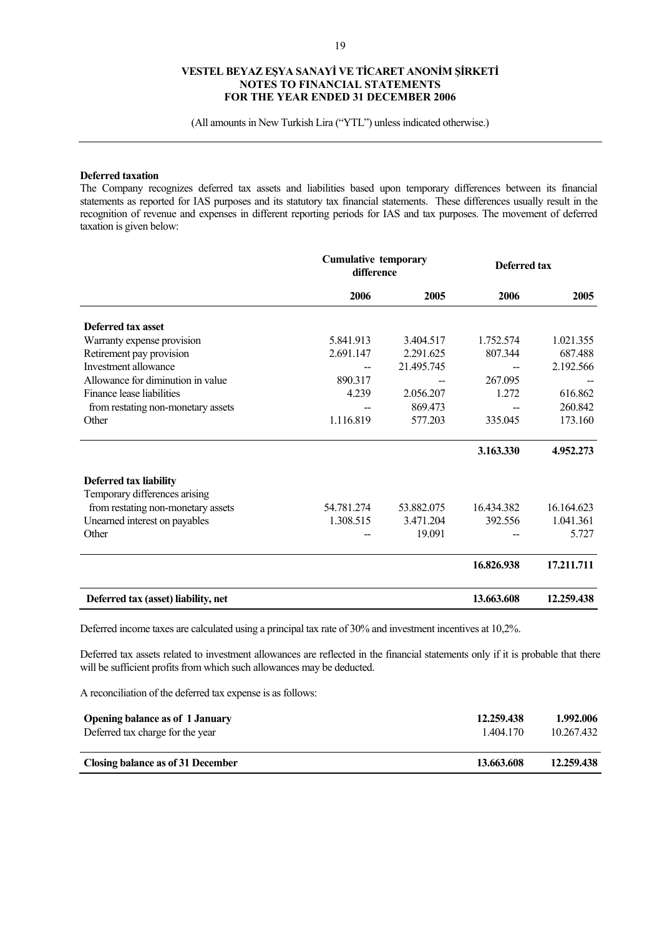(All amounts in New Turkish Lira ("YTL") unless indicated otherwise.)

#### **Deferred taxation**

The Company recognizes deferred tax assets and liabilities based upon temporary differences between its financial statements as reported for IAS purposes and its statutory tax financial statements. These differences usually result in the recognition of revenue and expenses in different reporting periods for IAS and tax purposes. The movement of deferred taxation is given below:

|                                     | <b>Cumulative temporary</b><br>difference |            | Deferred tax |            |
|-------------------------------------|-------------------------------------------|------------|--------------|------------|
|                                     | 2006                                      | 2005       | 2006         | 2005       |
| Deferred tax asset                  |                                           |            |              |            |
| Warranty expense provision          | 5.841.913                                 | 3.404.517  | 1.752.574    | 1.021.355  |
| Retirement pay provision            | 2.691.147                                 | 2.291.625  | 807.344      | 687.488    |
| Investment allowance                |                                           | 21.495.745 |              | 2.192.566  |
| Allowance for diminution in value   | 890.317                                   |            | 267.095      |            |
| Finance lease liabilities           | 4.239                                     | 2.056.207  | 1.272        | 616.862    |
| from restating non-monetary assets  |                                           | 869.473    |              | 260.842    |
| Other                               | 1.116.819                                 | 577.203    | 335.045      | 173.160    |
|                                     |                                           |            | 3.163.330    | 4.952.273  |
| Deferred tax liability              |                                           |            |              |            |
| Temporary differences arising       |                                           |            |              |            |
| from restating non-monetary assets  | 54.781.274                                | 53.882.075 | 16.434.382   | 16.164.623 |
| Unearned interest on payables       | 1.308.515                                 | 3.471.204  | 392.556      | 1.041.361  |
| Other                               |                                           | 19.091     |              | 5.727      |
|                                     |                                           |            | 16.826.938   | 17.211.711 |
| Deferred tax (asset) liability, net |                                           |            | 13.663.608   | 12.259.438 |

Deferred income taxes are calculated using a principal tax rate of 30% and investment incentives at 10,2%.

Deferred tax assets related to investment allowances are reflected in the financial statements only if it is probable that there will be sufficient profits from which such allowances may be deducted.

A reconciliation of the deferred tax expense is as follows:

| <b>Opening balance as of 1 January</b>   | 12.259.438 | 1.992.006  |
|------------------------------------------|------------|------------|
| Deferred tax charge for the year         | 1 404 170  | 10.267.432 |
| <b>Closing balance as of 31 December</b> | 13.663.608 | 12.259.438 |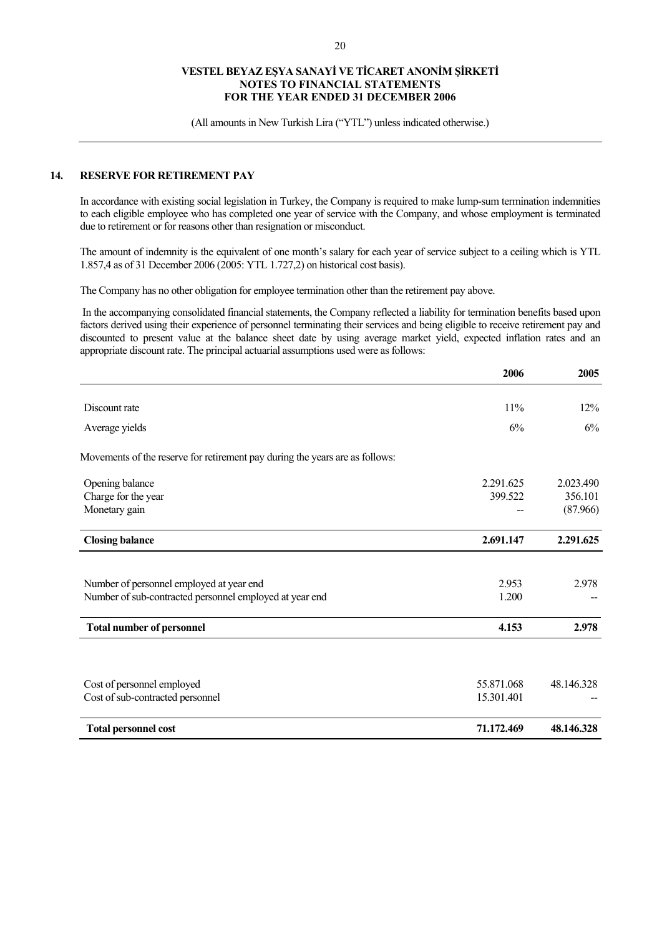(All amounts in New Turkish Lira ("YTL") unless indicated otherwise.)

#### **14. RESERVE FOR RETIREMENT PAY**

In accordance with existing social legislation in Turkey, the Company is required to make lump-sum termination indemnities to each eligible employee who has completed one year of service with the Company, and whose employment is terminated due to retirement or for reasons other than resignation or misconduct.

The amount of indemnity is the equivalent of one month's salary for each year of service subject to a ceiling which is YTL 1.857,4 as of 31 December 2006 (2005: YTL 1.727,2) on historical cost basis).

The Company has no other obligation for employee termination other than the retirement pay above.

 In the accompanying consolidated financial statements, the Company reflected a liability for termination benefits based upon factors derived using their experience of personnel terminating their services and being eligible to receive retirement pay and discounted to present value at the balance sheet date by using average market yield, expected inflation rates and an appropriate discount rate. The principal actuarial assumptions used were as follows:

|                                                                              | 2006       | 2005       |
|------------------------------------------------------------------------------|------------|------------|
|                                                                              |            |            |
| Discount rate                                                                | 11%        | 12%        |
| Average yields                                                               | 6%         | 6%         |
| Movements of the reserve for retirement pay during the years are as follows: |            |            |
| Opening balance                                                              | 2.291.625  | 2.023.490  |
| Charge for the year                                                          | 399.522    | 356.101    |
| Monetary gain                                                                |            | (87.966)   |
| <b>Closing balance</b>                                                       | 2.691.147  | 2.291.625  |
|                                                                              |            |            |
| Number of personnel employed at year end                                     | 2.953      | 2.978      |
| Number of sub-contracted personnel employed at year end                      | 1.200      |            |
| <b>Total number of personnel</b>                                             | 4.153      | 2.978      |
|                                                                              |            |            |
| Cost of personnel employed                                                   | 55.871.068 | 48.146.328 |
| Cost of sub-contracted personnel                                             | 15.301.401 |            |
| <b>Total personnel cost</b>                                                  | 71.172.469 | 48.146.328 |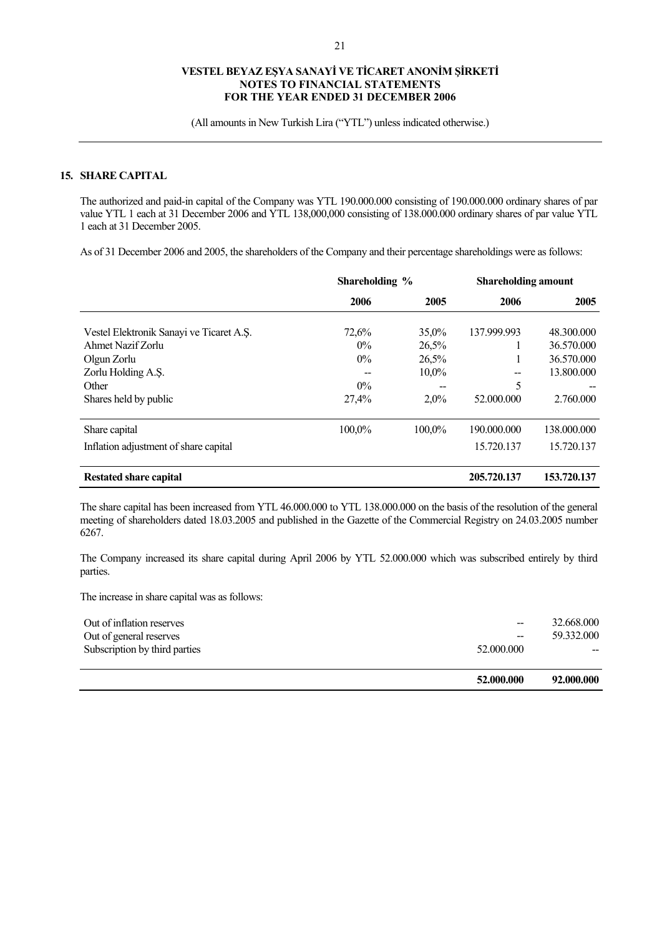(All amounts in New Turkish Lira ("YTL") unless indicated otherwise.)

### **15. SHARE CAPITAL**

The authorized and paid-in capital of the Company was YTL 190.000.000 consisting of 190.000.000 ordinary shares of par value YTL 1 each at 31 December 2006 and YTL 138,000,000 consisting of 138.000.000 ordinary shares of par value YTL 1 each at 31 December 2005.

As of 31 December 2006 and 2005, the shareholders of the Company and their percentage shareholdings were as follows:

|                                          | Shareholding % |        | <b>Shareholding amount</b> |             |
|------------------------------------------|----------------|--------|----------------------------|-------------|
|                                          | 2006           | 2005   | 2006                       | 2005        |
| Vestel Elektronik Sanayi ve Ticaret A.S. | 72,6%          | 35,0%  | 137.999.993                | 48.300.000  |
| Ahmet Nazif Zorlu                        | $0\%$          | 26,5%  |                            | 36.570.000  |
| Olgun Zorlu                              | $0\%$          | 26,5%  |                            | 36.570.000  |
| Zorlu Holding A.S.                       |                | 10,0%  | --                         | 13.800.000  |
| Other                                    | $0\%$          | $- -$  | 5                          |             |
| Shares held by public                    | 27,4%          | 2,0%   | 52,000,000                 | 2.760.000   |
| Share capital                            | 100,0%         | 100,0% | 190.000.000                | 138,000,000 |
| Inflation adjustment of share capital    |                |        | 15.720.137                 | 15.720.137  |
| <b>Restated share capital</b>            |                |        | 205.720.137                | 153.720.137 |

The share capital has been increased from YTL 46.000.000 to YTL 138.000.000 on the basis of the resolution of the general meeting of shareholders dated 18.03.2005 and published in the Gazette of the Commercial Registry on 24.03.2005 number 6267.

The Company increased its share capital during April 2006 by YTL 52.000.000 which was subscribed entirely by third parties.

The increase in share capital was as follows:

|                                                      | 52.000.000 | 92.000.000               |
|------------------------------------------------------|------------|--------------------------|
| Subscription by third parties                        | 52,000,000 |                          |
| Out of inflation reserves<br>Out of general reserves | $-$<br>--  | 32.668.000<br>59.332.000 |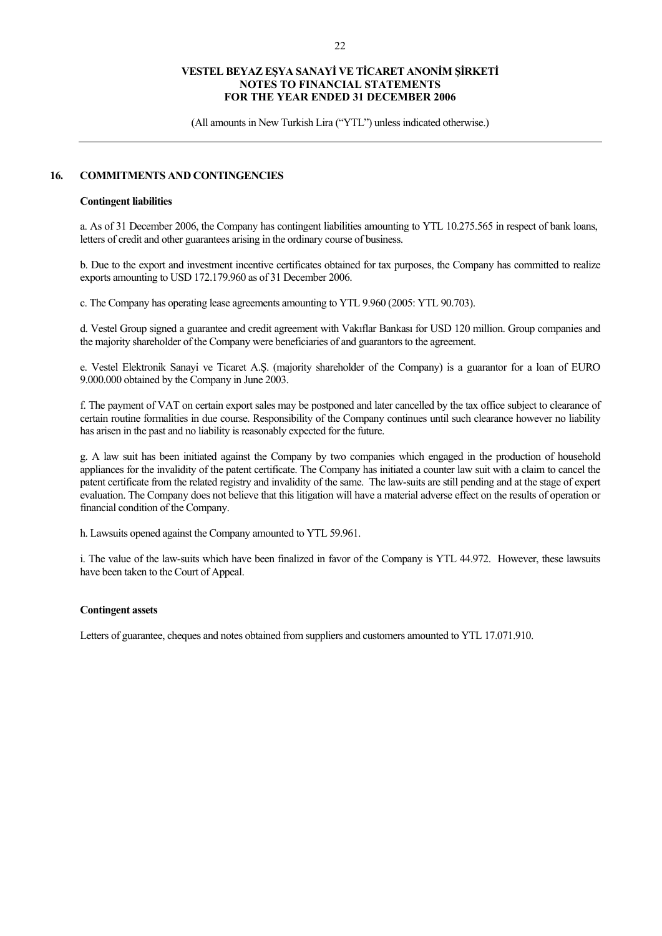(All amounts in New Turkish Lira ("YTL") unless indicated otherwise.)

#### **16. COMMITMENTS AND CONTINGENCIES**

#### **Contingent liabilities**

a. As of 31 December 2006, the Company has contingent liabilities amounting to YTL 10.275.565 in respect of bank loans, letters of credit and other guarantees arising in the ordinary course of business.

b. Due to the export and investment incentive certificates obtained for tax purposes, the Company has committed to realize exports amounting to USD 172.179.960 as of 31 December 2006.

c. The Company has operating lease agreements amounting to YTL 9.960 (2005: YTL 90.703).

d. Vestel Group signed a guarantee and credit agreement with Vakıflar Bankası for USD 120 million. Group companies and the majority shareholder of the Company were beneficiaries of and guarantors to the agreement.

e. Vestel Elektronik Sanayi ve Ticaret A.Ş. (majority shareholder of the Company) is a guarantor for a loan of EURO 9.000.000 obtained by the Company in June 2003.

f. The payment of VAT on certain export sales may be postponed and later cancelled by the tax office subject to clearance of certain routine formalities in due course. Responsibility of the Company continues until such clearance however no liability has arisen in the past and no liability is reasonably expected for the future.

g. A law suit has been initiated against the Company by two companies which engaged in the production of household appliances for the invalidity of the patent certificate. The Company has initiated a counter law suit with a claim to cancel the patent certificate from the related registry and invalidity of the same. The law-suits are still pending and at the stage of expert evaluation. The Company does not believe that this litigation will have a material adverse effect on the results of operation or financial condition of the Company.

h. Lawsuits opened against the Company amounted to YTL 59.961.

i. The value of the law-suits which have been finalized in favor of the Company is YTL 44.972. However, these lawsuits have been taken to the Court of Appeal.

#### **Contingent assets**

Letters of guarantee, cheques and notes obtained from suppliers and customers amounted to YTL 17.071.910.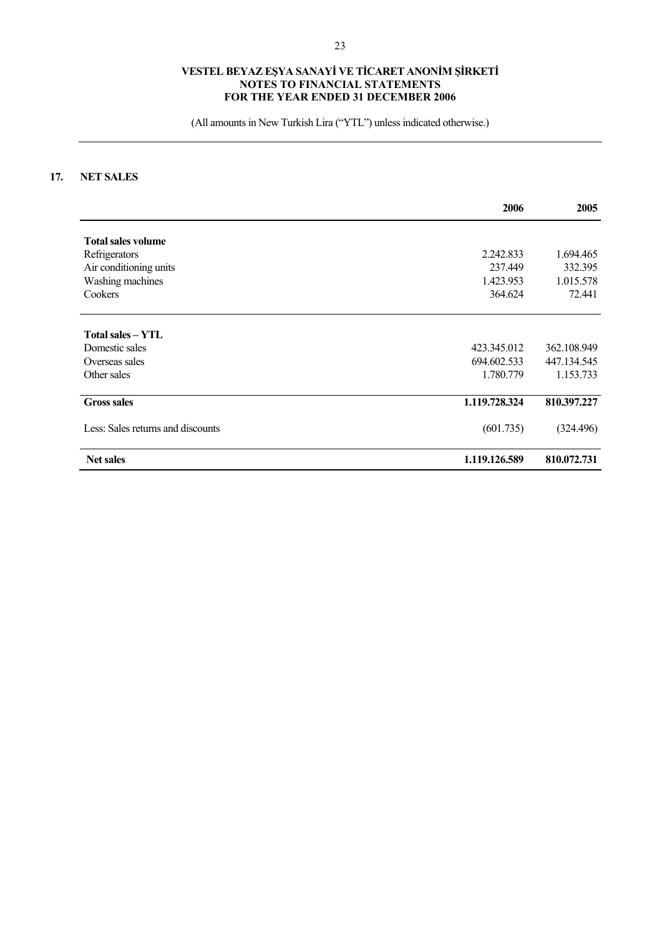(All amounts in New Turkish Lira ("YTL") unless indicated otherwise.)

## **17. NET SALES**

|                                   | 2006          | 2005        |
|-----------------------------------|---------------|-------------|
| <b>Total sales volume</b>         |               |             |
| Refrigerators                     | 2.242.833     | 1.694.465   |
| Air conditioning units            | 237.449       | 332.395     |
| Washing machines                  | 1.423.953     | 1.015.578   |
| Cookers                           | 364.624       | 72.441      |
| <b>Total sales – YTL</b>          |               |             |
| Domestic sales                    | 423.345.012   | 362.108.949 |
| Overseas sales                    | 694.602.533   | 447.134.545 |
| Other sales                       | 1.780.779     | 1.153.733   |
| <b>Gross sales</b>                | 1.119.728.324 | 810.397.227 |
| Less: Sales returns and discounts | (601.735)     | (324.496)   |
| <b>Net sales</b>                  | 1.119.126.589 | 810.072.731 |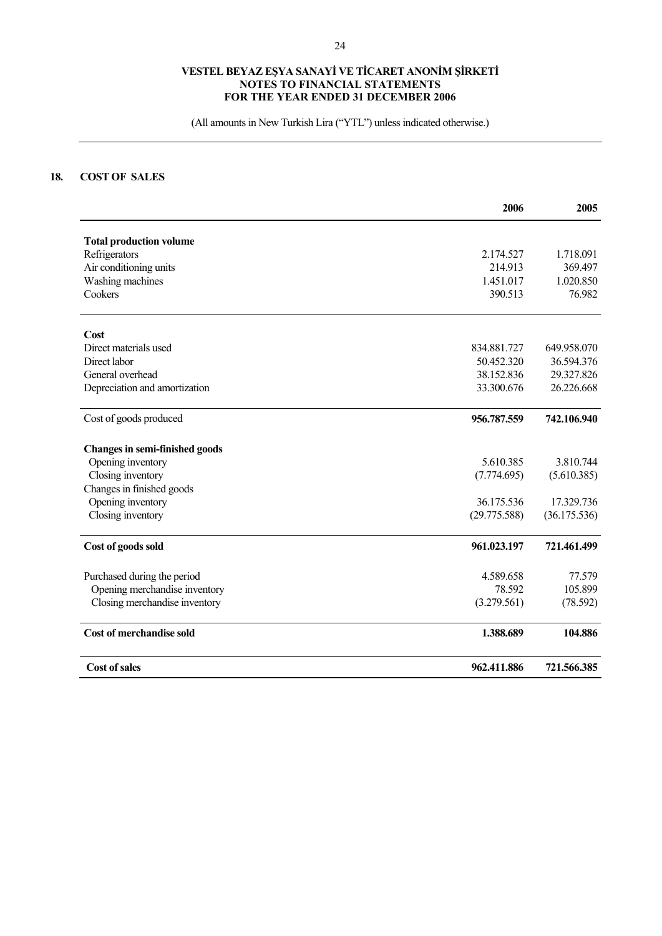(All amounts in New Turkish Lira ("YTL") unless indicated otherwise.)

## **18. COST OF SALES**

|                                       | 2006         | 2005         |
|---------------------------------------|--------------|--------------|
| <b>Total production volume</b>        |              |              |
| Refrigerators                         | 2.174.527    | 1.718.091    |
| Air conditioning units                | 214.913      | 369.497      |
| Washing machines                      | 1.451.017    | 1.020.850    |
| Cookers                               | 390.513      | 76.982       |
| Cost                                  |              |              |
| Direct materials used                 | 834.881.727  | 649.958.070  |
| Direct labor                          | 50.452.320   | 36.594.376   |
| General overhead                      | 38.152.836   | 29.327.826   |
| Depreciation and amortization         | 33.300.676   | 26.226.668   |
| Cost of goods produced                | 956.787.559  | 742.106.940  |
| <b>Changes in semi-finished goods</b> |              |              |
| Opening inventory                     | 5.610.385    | 3.810.744    |
| Closing inventory                     | (7.774.695)  | (5.610.385)  |
| Changes in finished goods             |              |              |
| Opening inventory                     | 36.175.536   | 17.329.736   |
| Closing inventory                     | (29.775.588) | (36.175.536) |
| Cost of goods sold                    | 961.023.197  | 721.461.499  |
| Purchased during the period           | 4.589.658    | 77.579       |
| Opening merchandise inventory         | 78.592       | 105.899      |
| Closing merchandise inventory         | (3.279.561)  | (78.592)     |
| <b>Cost of merchandise sold</b>       | 1.388.689    | 104.886      |
| <b>Cost of sales</b>                  | 962.411.886  | 721.566.385  |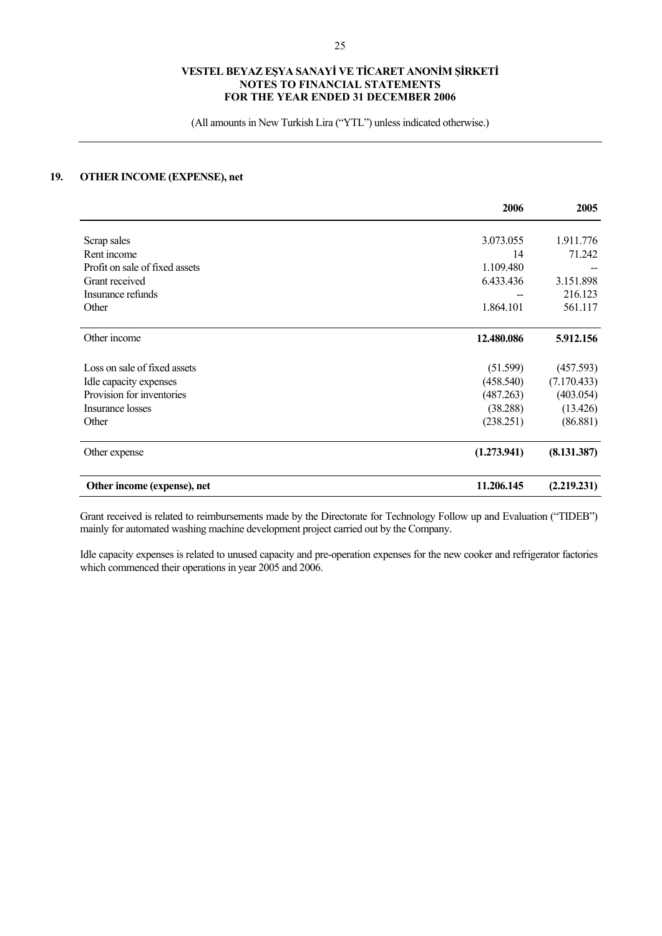(All amounts in New Turkish Lira ("YTL") unless indicated otherwise.)

## **19. OTHER INCOME (EXPENSE), net**

|                                | 2006        | 2005        |
|--------------------------------|-------------|-------------|
|                                |             |             |
| Scrap sales                    | 3.073.055   | 1.911.776   |
| Rent income                    | 14          | 71.242      |
| Profit on sale of fixed assets | 1.109.480   |             |
| Grant received                 | 6.433.436   | 3.151.898   |
| Insurance refunds              |             | 216.123     |
| Other                          | 1.864.101   | 561.117     |
| Other income                   | 12.480.086  | 5.912.156   |
| Loss on sale of fixed assets   | (51.599)    | (457.593)   |
| Idle capacity expenses         | (458.540)   | (7.170.433) |
| Provision for inventories      | (487.263)   | (403.054)   |
| Insurance losses               | (38.288)    | (13.426)    |
| Other                          | (238.251)   | (86.881)    |
| Other expense                  | (1.273.941) | (8.131.387) |
| Other income (expense), net    | 11.206.145  | (2.219.231) |

Grant received is related to reimbursements made by the Directorate for Technology Follow up and Evaluation ("TIDEB") mainly for automated washing machine development project carried out by the Company.

Idle capacity expenses is related to unused capacity and pre-operation expenses for the new cooker and refrigerator factories which commenced their operations in year 2005 and 2006.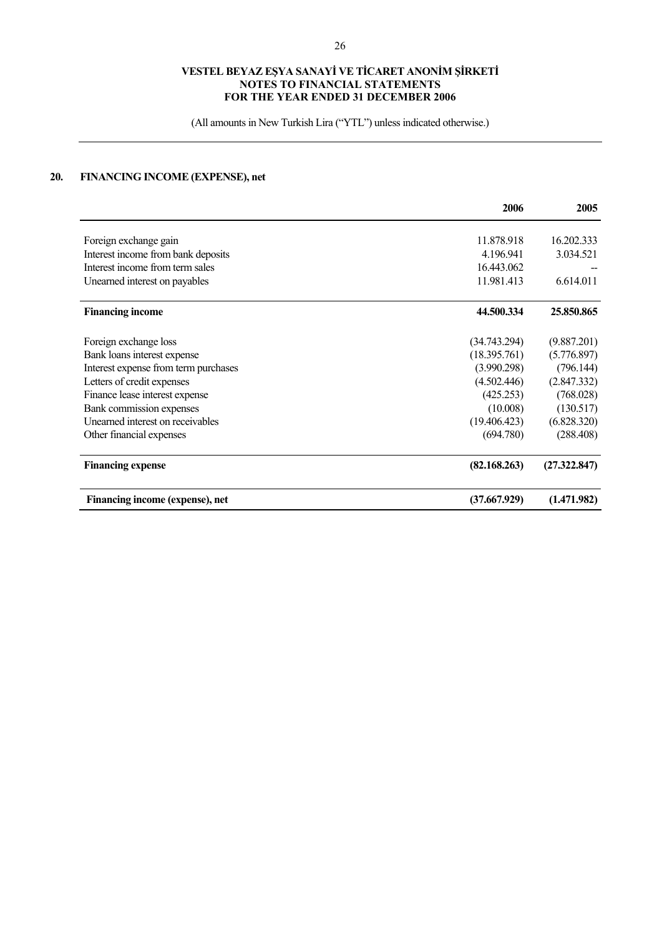(All amounts in New Turkish Lira ("YTL") unless indicated otherwise.)

## **20. FINANCING INCOME (EXPENSE), net**

|                                      | 2006         | 2005         |
|--------------------------------------|--------------|--------------|
|                                      |              |              |
| Foreign exchange gain                | 11.878.918   | 16.202.333   |
| Interest income from bank deposits   | 4.196.941    | 3.034.521    |
| Interest income from term sales      | 16.443.062   |              |
| Unearned interest on payables        | 11.981.413   | 6.614.011    |
| <b>Financing income</b>              | 44.500.334   | 25.850.865   |
| Foreign exchange loss                | (34.743.294) | (9.887.201)  |
| Bank loans interest expense          | (18.395.761) | (5.776.897)  |
| Interest expense from term purchases | (3.990.298)  | (796.144)    |
| Letters of credit expenses           | (4.502.446)  | (2.847.332)  |
| Finance lease interest expense       | (425.253)    | (768.028)    |
| Bank commission expenses             | (10.008)     | (130.517)    |
| Unearned interest on receivables     | (19.406.423) | (6.828.320)  |
| Other financial expenses             | (694.780)    | (288.408)    |
| <b>Financing expense</b>             | (82.168.263) | (27.322.847) |
| Financing income (expense), net      | (37.667.929) | (1.471.982)  |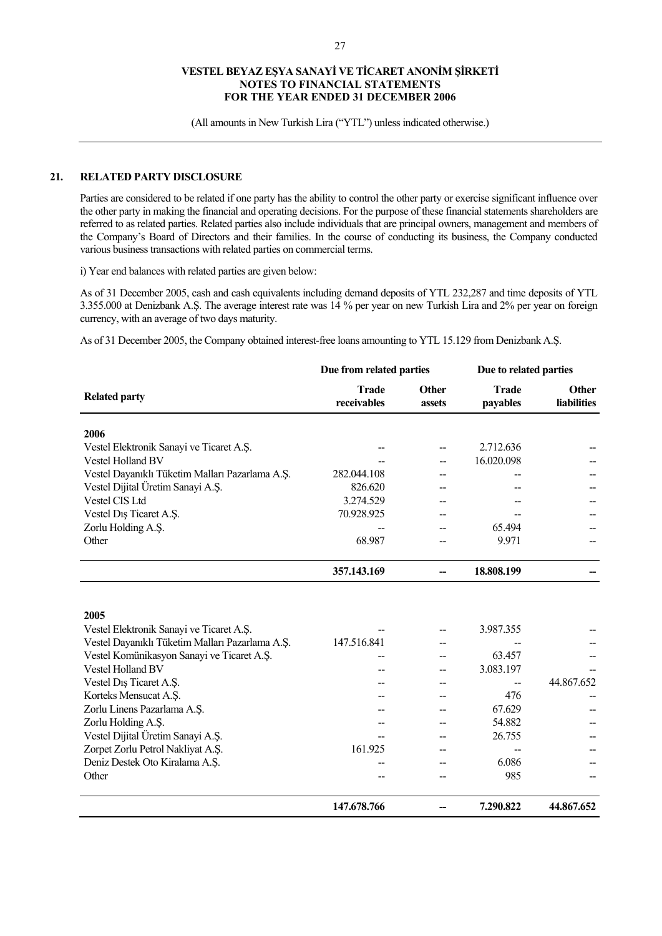(All amounts in New Turkish Lira ("YTL") unless indicated otherwise.)

### **21. RELATED PARTY DISCLOSURE**

Parties are considered to be related if one party has the ability to control the other party or exercise significant influence over the other party in making the financial and operating decisions. For the purpose of these financial statements shareholders are referred to as related parties. Related parties also include individuals that are principal owners, management and members of the Company's Board of Directors and their families. In the course of conducting its business, the Company conducted various business transactions with related parties on commercial terms.

i) Year end balances with related parties are given below:

As of 31 December 2005, cash and cash equivalents including demand deposits of YTL 232,287 and time deposits of YTL 3.355.000 at Denizbank A.Ş. The average interest rate was 14 % per year on new Turkish Lira and 2% per year on foreign currency, with an average of two days maturity.

As of 31 December 2005, the Company obtained interest-free loans amounting to YTL 15.129 from Denizbank A.Ş.

|                                                 | Due from related parties    |                        | Due to related parties   |                             |  |
|-------------------------------------------------|-----------------------------|------------------------|--------------------------|-----------------------------|--|
| <b>Related party</b>                            | <b>Trade</b><br>receivables | <b>Other</b><br>assets | <b>Trade</b><br>payables | Other<br><b>liabilities</b> |  |
| 2006                                            |                             |                        |                          |                             |  |
| Vestel Elektronik Sanayi ve Ticaret A.Ş.        |                             |                        | 2.712.636                |                             |  |
| Vestel Holland BV                               |                             |                        | 16.020.098               |                             |  |
| Vestel Dayanıklı Tüketim Malları Pazarlama A.Ş. | 282.044.108                 |                        |                          |                             |  |
| Vestel Dijital Üretim Sanayi A.Ş.               | 826.620                     |                        |                          |                             |  |
| Vestel CIS Ltd                                  | 3.274.529                   |                        |                          |                             |  |
| Vestel Dis Ticaret A.S.                         | 70.928.925                  |                        |                          |                             |  |
| Zorlu Holding A.S.                              |                             |                        | 65.494                   |                             |  |
| Other                                           | 68.987                      |                        | 9.971                    |                             |  |
|                                                 | 357.143.169                 |                        | 18.808.199               |                             |  |
|                                                 |                             |                        |                          |                             |  |
| 2005                                            |                             |                        |                          |                             |  |
| Vestel Elektronik Sanayi ve Ticaret A.Ş.        |                             |                        | 3.987.355                |                             |  |
| Vestel Dayanıklı Tüketim Malları Pazarlama A.Ş. | 147.516.841                 |                        |                          |                             |  |
| Vestel Komünikasyon Sanayi ve Ticaret A.Ş.      |                             |                        | 63.457                   |                             |  |
| <b>Vestel Holland BV</b>                        |                             |                        | 3.083.197                |                             |  |
| Vestel Dış Ticaret A.Ş.                         |                             |                        |                          | 44.867.652                  |  |
| Korteks Mensucat A.S.                           |                             |                        | 476                      |                             |  |
| Zorlu Linens Pazarlama A.Ş.                     |                             |                        | 67.629                   |                             |  |
| Zorlu Holding A.S.                              |                             |                        | 54.882                   |                             |  |
| Vestel Dijital Üretim Sanayi A.Ş.               |                             |                        | 26.755                   |                             |  |
| Zorpet Zorlu Petrol Nakliyat A.Ş.               | 161.925                     |                        |                          |                             |  |
| Deniz Destek Oto Kiralama A.S.                  |                             |                        | 6.086                    |                             |  |
| Other                                           |                             |                        | 985                      |                             |  |
|                                                 | 147.678.766                 |                        | 7.290.822                | 44.867.652                  |  |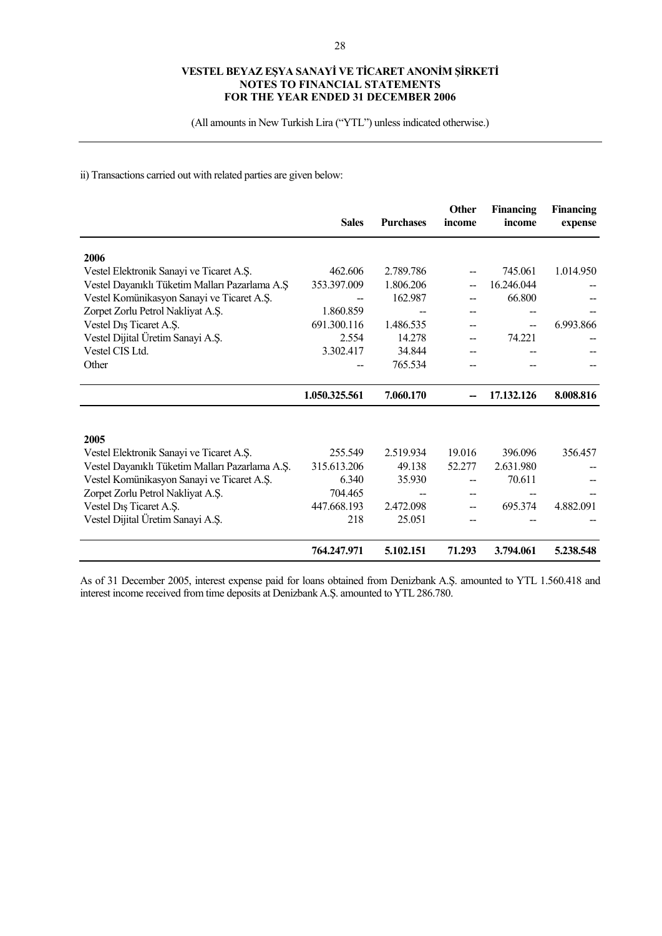(All amounts in New Turkish Lira ("YTL") unless indicated otherwise.)

ii) Transactions carried out with related parties are given below:

|                                                 | <b>Sales</b>  | <b>Purchases</b> | <b>Other</b><br>income | <b>Financing</b><br>income | <b>Financing</b><br>expense |
|-------------------------------------------------|---------------|------------------|------------------------|----------------------------|-----------------------------|
| 2006                                            |               |                  |                        |                            |                             |
| Vestel Elektronik Sanayi ve Ticaret A.Ş.        | 462.606       | 2.789.786        | --                     | 745.061                    | 1.014.950                   |
| Vestel Dayanıklı Tüketim Malları Pazarlama A.Ş  | 353.397.009   | 1.806.206        | --                     | 16.246.044                 |                             |
| Vestel Komünikasyon Sanayi ve Ticaret A.Ş.      |               | 162.987          |                        | 66.800                     |                             |
| Zorpet Zorlu Petrol Nakliyat A.S.               | 1.860.859     |                  |                        |                            |                             |
| Vestel Dis Ticaret A.S.                         | 691.300.116   | 1.486.535        |                        |                            | 6.993.866                   |
| Vestel Dijital Üretim Sanayi A.Ş.               | 2.554         | 14.278           | --                     | 74.221                     |                             |
| Vestel CIS Ltd.                                 | 3.302.417     | 34.844           |                        |                            |                             |
| Other                                           |               | 765.534          |                        |                            |                             |
|                                                 | 1.050.325.561 | 7.060.170        |                        | 17.132.126                 | 8.008.816                   |
|                                                 |               |                  |                        |                            |                             |
| 2005                                            |               |                  |                        |                            |                             |
| Vestel Elektronik Sanayi ve Ticaret A.Ş.        | 255.549       | 2.519.934        | 19.016                 | 396.096                    | 356.457                     |
| Vestel Dayanıklı Tüketim Malları Pazarlama A.Ş. | 315.613.206   | 49.138           | 52.277                 | 2.631.980                  |                             |
| Vestel Komünikasyon Sanayi ve Ticaret A.Ş.      | 6.340         | 35.930           |                        | 70.611                     |                             |
| Zorpet Zorlu Petrol Nakliyat A.S.               | 704.465       |                  |                        |                            |                             |
| Vestel Dis Ticaret A.S.                         | 447.668.193   | 2.472.098        |                        | 695.374                    | 4.882.091                   |
| Vestel Dijital Üretim Sanayi A.Ş.               | 218           | 25.051           |                        |                            |                             |
|                                                 | 764.247.971   | 5.102.151        | 71.293                 | 3.794.061                  | 5.238.548                   |

As of 31 December 2005, interest expense paid for loans obtained from Denizbank A.Ş. amounted to YTL 1.560.418 and interest income received from time deposits at Denizbank A.Ş. amounted to YTL 286.780.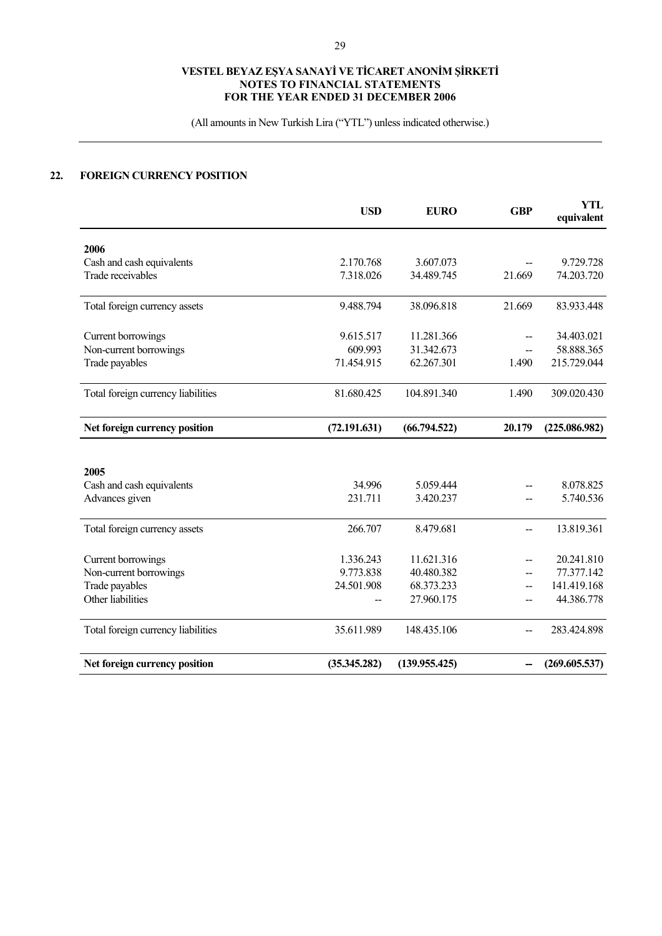(All amounts in New Turkish Lira ("YTL") unless indicated otherwise.)

#### **22. FOREIGN CURRENCY POSITION**

|                                    | <b>USD</b>   | <b>EURO</b>   | <b>GBP</b> | <b>YTL</b><br>equivalent |
|------------------------------------|--------------|---------------|------------|--------------------------|
| 2006                               |              |               |            |                          |
| Cash and cash equivalents          | 2.170.768    | 3.607.073     |            | 9.729.728                |
| Trade receivables                  | 7.318.026    | 34.489.745    | 21.669     | 74.203.720               |
| Total foreign currency assets      | 9.488.794    | 38.096.818    | 21.669     | 83.933.448               |
| Current borrowings                 | 9.615.517    | 11.281.366    |            | 34.403.021               |
| Non-current borrowings             | 609.993      | 31.342.673    |            | 58.888.365               |
| Trade payables                     | 71.454.915   | 62.267.301    | 1.490      | 215.729.044              |
| Total foreign currency liabilities | 81.680.425   | 104.891.340   | 1.490      | 309.020.430              |
| Net foreign currency position      | (72.191.631) | (66.794.522)  | 20.179     | (225.086.982)            |
|                                    |              |               |            |                          |
| 2005                               |              |               |            |                          |
| Cash and cash equivalents          | 34.996       | 5.059.444     |            | 8.078.825                |
| Advances given                     | 231.711      | 3.420.237     |            | 5.740.536                |
| Total foreign currency assets      | 266.707      | 8.479.681     |            | 13.819.361               |
| Current borrowings                 | 1.336.243    | 11.621.316    |            | 20.241.810               |
| Non-current borrowings             | 9.773.838    | 40.480.382    |            | 77.377.142               |
| Trade payables                     | 24.501.908   | 68.373.233    |            | 141.419.168              |
| Other liabilities                  |              | 27.960.175    |            | 44.386.778               |
| Total foreign currency liabilities | 35.611.989   | 148.435.106   |            | 283.424.898              |
| Net foreign currency position      | (35.345.282) | (139.955.425) |            | (269.605.537)            |